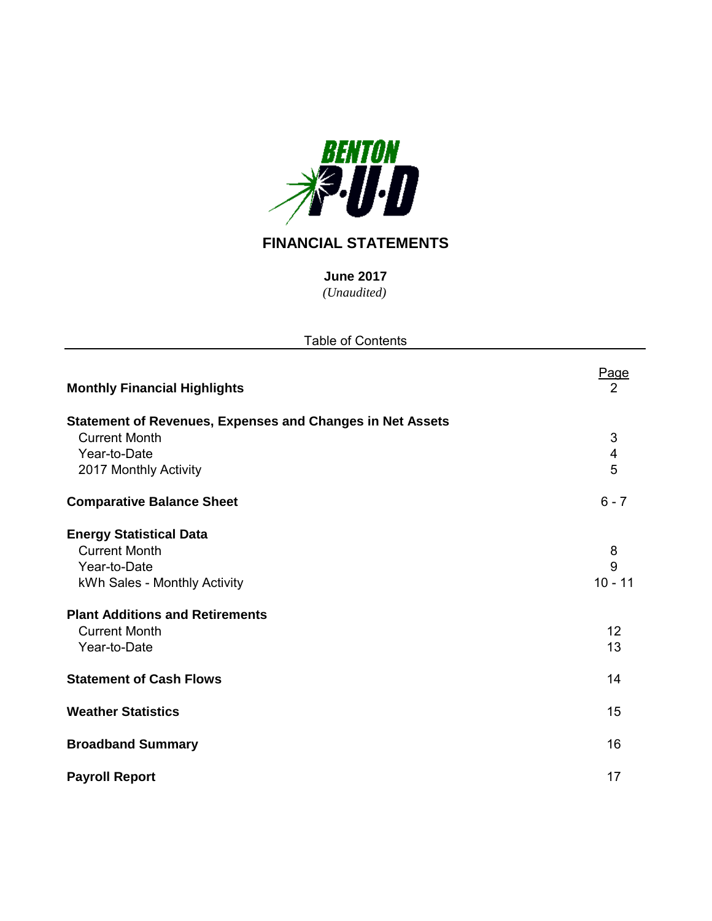

# **FINANCIAL STATEMENTS**

*(Unaudited)* **June 2017**

| <b>Table of Contents</b>                                                                                 |                               |
|----------------------------------------------------------------------------------------------------------|-------------------------------|
| <b>Monthly Financial Highlights</b>                                                                      | <u>Page</u><br>$\overline{2}$ |
| <b>Statement of Revenues, Expenses and Changes in Net Assets</b><br><b>Current Month</b><br>Year-to-Date | 3<br>$\overline{\mathbf{4}}$  |
| 2017 Monthly Activity                                                                                    | 5                             |
| <b>Comparative Balance Sheet</b>                                                                         | $6 - 7$                       |
| <b>Energy Statistical Data</b><br><b>Current Month</b><br>Year-to-Date<br>kWh Sales - Monthly Activity   | 8<br>9<br>$10 - 11$           |
| <b>Plant Additions and Retirements</b><br><b>Current Month</b><br>Year-to-Date                           | 12<br>13                      |
| <b>Statement of Cash Flows</b>                                                                           | 14                            |
| <b>Weather Statistics</b>                                                                                | 15                            |
| <b>Broadband Summary</b>                                                                                 | 16                            |
| <b>Payroll Report</b>                                                                                    | 17                            |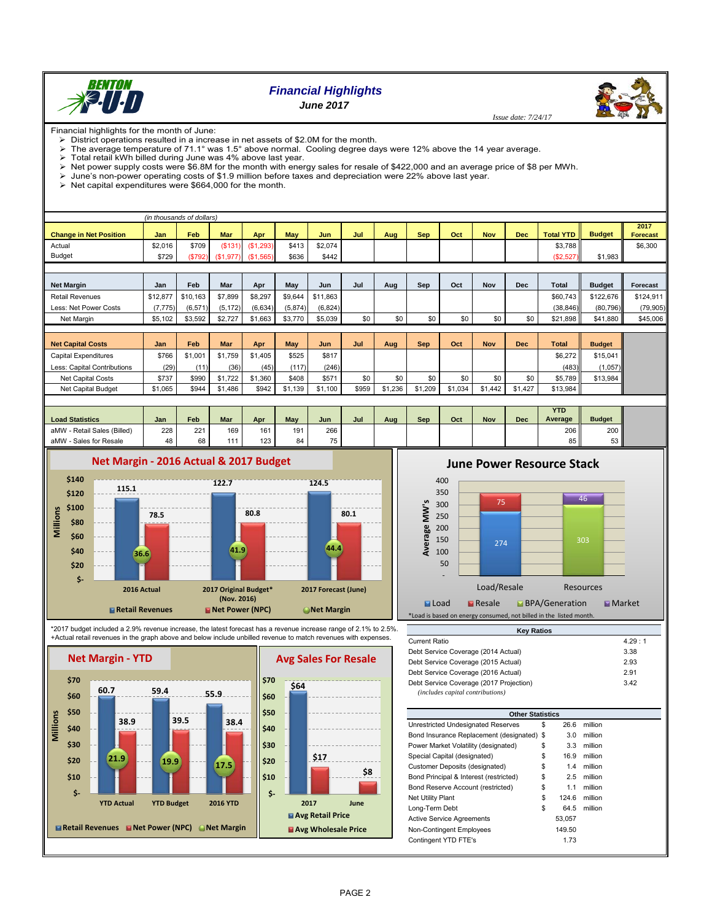

# *Financial Highlights June 2017*

Financial highlights for the month of June: District operations resulted in a increase in net assets of \$2.0M for the month.

The average temperature of 71.1° was 1.5° above normal. Cooling degree days were 12% above the 14 year average. Total retail kWh billed during June was 4% above last year.

Net power supply costs were \$6.8M for the month with energy sales for resale of \$422,000 and an average price of \$8 per MWh.

June's non-power operating costs of \$1.9 million before taxes and depreciation were 22% above last year.

Net capital expenditures were  $$664,000$  for the month.

|                               | (in thousands of dollars) |          |            |                       |            |          |     |     |            |     |            |            |                  |               |                  |
|-------------------------------|---------------------------|----------|------------|-----------------------|------------|----------|-----|-----|------------|-----|------------|------------|------------------|---------------|------------------|
| <b>Change in Net Position</b> | Jan                       | Feb      | <b>Mar</b> | Apr                   | <b>May</b> | Jun.     | Jul | Aug | <b>Sep</b> | Oct | <b>Nov</b> | <b>Dec</b> | <b>Total YTD</b> | <b>Budget</b> | 2017<br>Forecast |
| Actual                        | \$2,016                   | \$709    | (S131)     | (S1, 293)             | \$413      | \$2,074  |     |     |            |     |            |            | \$3,788          |               | \$6,300          |
| <b>Budget</b>                 | \$729                     | (\$792)  |            | $($1,977)$ $($1,565)$ | \$636      | \$442    |     |     |            |     |            |            | (\$2,527)        | \$1,983       |                  |
|                               |                           |          |            |                       |            |          |     |     |            |     |            |            |                  |               |                  |
| <b>Net Margin</b>             | Jan                       | Feb      | Mar        | Apr                   | May        | Jun      | Jul | Aug | Sep        | Oct | Nov        | <b>Dec</b> | <b>Total</b>     | <b>Budget</b> | Forecast         |
| <b>Retail Revenues</b>        | \$12,877                  | \$10.163 | \$7,899    | \$8,297               | \$9,644    | \$11,863 |     |     |            |     |            |            | \$60.743         | \$122,676     | \$124,911        |
| Less: Net Power Costs         | (7, 775)                  | (6, 571) | (5, 172)   | (6,634)               | (5,874)    | (6, 824) |     |     |            |     |            |            | (38.846)         | (80, 796)     | (79, 905)        |
| Net Margin                    | \$5,102                   | \$3,592  | \$2,727    | \$1,663               | \$3,770    | \$5,039  | \$0 | \$0 | \$0        | \$0 | \$0        | \$0        | \$21,898         | \$41,880      | \$45,006         |
|                               |                           |          |            |                       |            |          |     |     |            |     |            |            |                  |               |                  |
| <b>Net Capital Costs</b>      | <b>Jan</b>                | Feb      | <b>Mar</b> | Apr                   | <b>May</b> | Jun      | Jul | Aug | <b>Sep</b> | Oct | <b>Nov</b> | <b>Dec</b> | <b>Total</b>     | <b>Budget</b> |                  |

| <b>Net Capital Costs</b>    | Jan     | Feb     | Mar     | <b>Apr</b> | May     | Jun     | Jul   | Aug    | <b>Sep</b> | Oct     | Nov     | <b>Dec</b> | <b>Total</b> | <b>Budget</b> |  |
|-----------------------------|---------|---------|---------|------------|---------|---------|-------|--------|------------|---------|---------|------------|--------------|---------------|--|
| Capital Expenditures        | \$766   | \$1,001 | \$1.759 | \$1.405    | \$525   | \$817   |       |        |            |         |         |            | \$6,272      | \$15.041      |  |
| Less: Capital Contributions | (29)    | (11)    | (36)    | (45)       | (117)   | (246)   |       |        |            |         |         |            | (483)        | (1,057)       |  |
| Net Capital Costs           | \$737   | \$990   | \$1.722 | 1.360      | \$408   | \$571   | \$0   | \$0    |            | \$0     | \$0     | \$0        | \$5.789      | \$13.984      |  |
| Net Capital Budget          | \$1.065 | \$944   | \$1,486 | \$942      | \$1.139 | \$1.100 | \$959 | 61.236 | \$1,209    | \$1.034 | \$1.442 | \$1,427    | \$13.984     |               |  |

|                             |     |     |     |     |     |     |     |     |     |     |            |            | <b>YTD</b> |               |
|-----------------------------|-----|-----|-----|-----|-----|-----|-----|-----|-----|-----|------------|------------|------------|---------------|
| <b>Load Statistics</b>      | Jan | Feb | Mar | Apr | May | Jun | Jul | Aua | Sep | Oct | <b>Nov</b> | <b>Dec</b> | Average    | <b>Budget</b> |
| aMW - Retail Sales (Billed) | 228 | 221 | 169 | 161 | 191 | 266 |     |     |     |     |            |            | 206        | 200           |
| aMW - Sales for Resale      | 48  | 68  | .   | 123 | 84  | 75  |     |     |     |     |            |            | 85         | ບບ            |



## \*2017 budget included a 2.9% revenue increase, the latest forecast has a revenue increase range of 2.1% to 2.5%. +Actual retail revenues in the graph above and below include unbilled revenue to match revenues with expenses.



# **June Power Resource Stack**



| <b>Kev Ratios</b>                                                           |        |
|-----------------------------------------------------------------------------|--------|
| Current Ratio                                                               | 4.29:1 |
| Debt Service Coverage (2014 Actual)                                         | 3.38   |
| Debt Service Coverage (2015 Actual)                                         | 2.93   |
| Debt Service Coverage (2016 Actual)                                         | 2.91   |
| Debt Service Coverage (2017 Projection)<br>(includes capital contributions) | 3.42   |

| <b>Other Statistics</b>                    |             |         |  |
|--------------------------------------------|-------------|---------|--|
| Unrestricted Undesignated Reserves         | \$<br>26.6  | million |  |
| Bond Insurance Replacement (designated) \$ | 3.0         | million |  |
| Power Market Volatility (designated)       | \$<br>3.3   | million |  |
| Special Capital (designated)               | \$<br>16.9  | million |  |
| Customer Deposits (designated)             | \$<br>1.4   | million |  |
| Bond Principal & Interest (restricted)     | \$<br>2.5   | million |  |
| Bond Reserve Account (restricted)          | \$<br>1.1   | million |  |
| <b>Net Utility Plant</b>                   | \$<br>124.6 | million |  |
| Long-Term Debt                             | \$<br>64.5  | million |  |
| <b>Active Service Agreements</b>           | 53.057      |         |  |
| Non-Contingent Employees                   | 149.50      |         |  |
| Contingent YTD FTE's                       | 1.73        |         |  |

**\$8**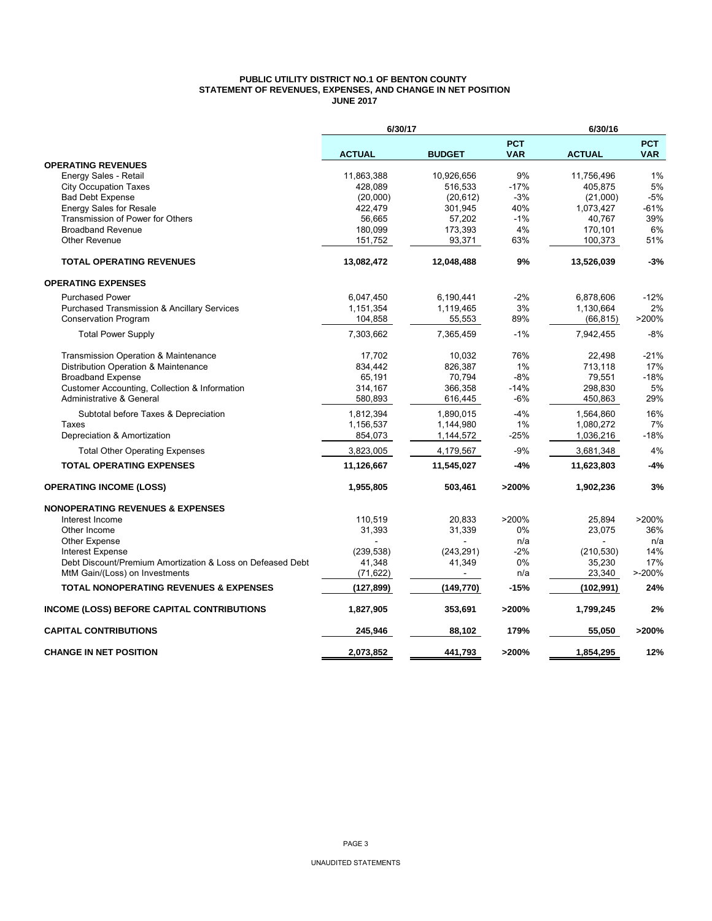#### **PUBLIC UTILITY DISTRICT NO.1 OF BENTON COUNTY STATEMENT OF REVENUES, EXPENSES, AND CHANGE IN NET POSITION JUNE 2017**

|                                                            | 6/30/17       |                |                          | 6/30/16       |                          |
|------------------------------------------------------------|---------------|----------------|--------------------------|---------------|--------------------------|
|                                                            | <b>ACTUAL</b> | <b>BUDGET</b>  | <b>PCT</b><br><b>VAR</b> | <b>ACTUAL</b> | <b>PCT</b><br><b>VAR</b> |
| <b>OPERATING REVENUES</b>                                  |               |                |                          |               |                          |
| Energy Sales - Retail                                      | 11,863,388    | 10,926,656     | 9%                       | 11,756,496    | 1%                       |
| <b>City Occupation Taxes</b>                               | 428,089       | 516,533        | $-17%$                   | 405,875       | 5%                       |
| <b>Bad Debt Expense</b>                                    | (20,000)      | (20, 612)      | $-3%$                    | (21,000)      | $-5%$                    |
| Energy Sales for Resale                                    | 422,479       | 301,945        | 40%                      | 1,073,427     | $-61%$                   |
| Transmission of Power for Others                           | 56,665        | 57,202         | $-1%$                    | 40,767        | 39%                      |
| <b>Broadband Revenue</b>                                   | 180,099       | 173,393        | 4%                       | 170,101       | 6%                       |
| <b>Other Revenue</b>                                       | 151,752       | 93,371         | 63%                      | 100,373       | 51%                      |
| <b>TOTAL OPERATING REVENUES</b>                            | 13,082,472    | 12,048,488     | 9%                       | 13,526,039    | $-3%$                    |
| <b>OPERATING EXPENSES</b>                                  |               |                |                          |               |                          |
| <b>Purchased Power</b>                                     | 6,047,450     | 6,190,441      | $-2%$                    | 6,878,606     | $-12%$                   |
| <b>Purchased Transmission &amp; Ancillary Services</b>     | 1,151,354     | 1,119,465      | 3%                       | 1,130,664     | 2%                       |
| <b>Conservation Program</b>                                | 104,858       | 55,553         | 89%                      | (66, 815)     | >200%                    |
| <b>Total Power Supply</b>                                  | 7,303,662     | 7,365,459      | $-1%$                    | 7,942,455     | $-8%$                    |
| Transmission Operation & Maintenance                       | 17,702        | 10,032         | 76%                      | 22,498        | $-21%$                   |
| Distribution Operation & Maintenance                       | 834,442       | 826,387        | 1%                       | 713,118       | 17%                      |
| <b>Broadband Expense</b>                                   | 65,191        | 70,794         | $-8%$                    | 79,551        | $-18%$                   |
| Customer Accounting, Collection & Information              | 314,167       | 366,358        | $-14%$                   | 298,830       | 5%                       |
| Administrative & General                                   | 580,893       | 616,445        | $-6%$                    | 450,863       | 29%                      |
| Subtotal before Taxes & Depreciation                       | 1,812,394     | 1,890,015      | $-4%$                    | 1,564,860     | 16%                      |
| Taxes                                                      | 1,156,537     | 1,144,980      | 1%                       | 1,080,272     | 7%                       |
| Depreciation & Amortization                                | 854,073       | 1,144,572      | -25%                     | 1,036,216     | -18%                     |
| <b>Total Other Operating Expenses</b>                      | 3,823,005     | 4,179,567      | $-9%$                    | 3,681,348     | 4%                       |
| <b>TOTAL OPERATING EXPENSES</b>                            | 11,126,667    | 11,545,027     | -4%                      | 11,623,803    | $-4%$                    |
| <b>OPERATING INCOME (LOSS)</b>                             | 1,955,805     | 503,461        | >200%                    | 1,902,236     | 3%                       |
| <b>NONOPERATING REVENUES &amp; EXPENSES</b>                |               |                |                          |               |                          |
| Interest Income                                            | 110,519       | 20,833         | >200%                    | 25,894        | >200%                    |
| Other Income                                               | 31,393        | 31,339         | 0%                       | 23,075        | 36%                      |
| Other Expense                                              |               |                | n/a                      |               | n/a                      |
| <b>Interest Expense</b>                                    | (239, 538)    | (243, 291)     | $-2%$                    | (210, 530)    | 14%                      |
| Debt Discount/Premium Amortization & Loss on Defeased Debt | 41,348        | 41,349         | 0%                       | 35,230        | 17%                      |
| MtM Gain/(Loss) on Investments                             | (71, 622)     | $\overline{a}$ | n/a                      | 23,340        | $> -200%$                |
| <b>TOTAL NONOPERATING REVENUES &amp; EXPENSES</b>          | (127, 899)    | (149, 770)     | $-15%$                   | (102, 991)    | 24%                      |
| INCOME (LOSS) BEFORE CAPITAL CONTRIBUTIONS                 | 1,827,905     | 353,691        | >200%                    | 1,799,245     | 2%                       |
| <b>CAPITAL CONTRIBUTIONS</b>                               | 245,946       | 88,102         | 179%                     | 55,050        | >200%                    |
| <b>CHANGE IN NET POSITION</b>                              | 2.073.852     | 441.793        | >200%                    | 1.854.295     | 12%                      |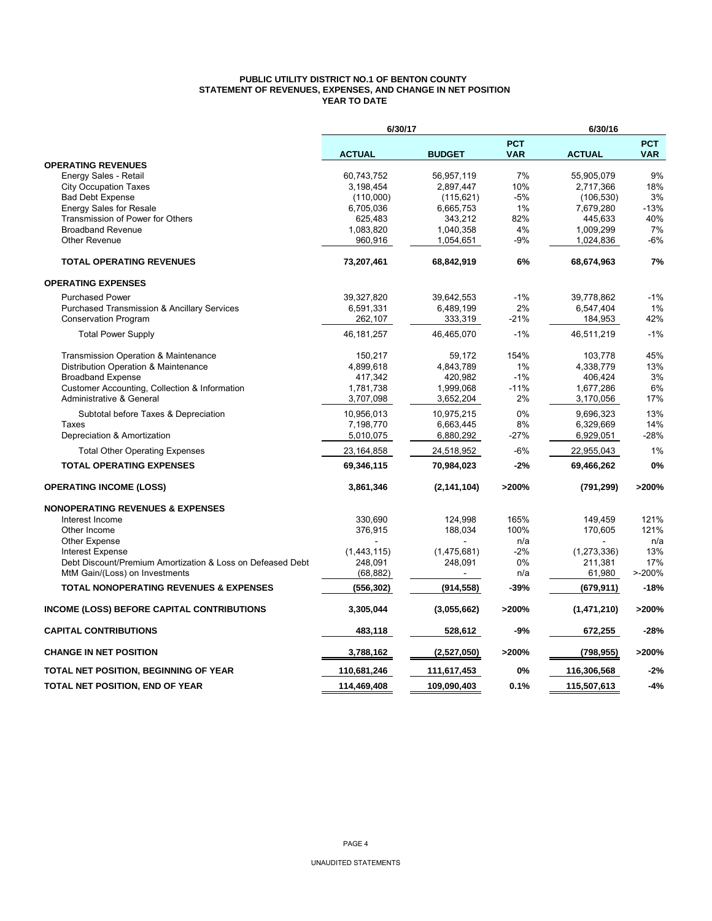#### **PUBLIC UTILITY DISTRICT NO.1 OF BENTON COUNTY STATEMENT OF REVENUES, EXPENSES, AND CHANGE IN NET POSITION YEAR TO DATE**

|                                                            | 6/30/17       |               |                          | 6/30/16       |                          |  |  |
|------------------------------------------------------------|---------------|---------------|--------------------------|---------------|--------------------------|--|--|
|                                                            | <b>ACTUAL</b> | <b>BUDGET</b> | <b>PCT</b><br><b>VAR</b> | <b>ACTUAL</b> | <b>PCT</b><br><b>VAR</b> |  |  |
| <b>OPERATING REVENUES</b>                                  |               |               |                          |               |                          |  |  |
| Energy Sales - Retail                                      | 60,743,752    | 56,957,119    | 7%                       | 55,905,079    | 9%                       |  |  |
| <b>City Occupation Taxes</b>                               | 3,198,454     | 2,897,447     | 10%                      | 2,717,366     | 18%                      |  |  |
| <b>Bad Debt Expense</b>                                    | (110,000)     | (115, 621)    | $-5%$                    | (106, 530)    | 3%                       |  |  |
| <b>Energy Sales for Resale</b>                             | 6,705,036     | 6,665,753     | 1%                       | 7,679,280     | $-13%$                   |  |  |
| Transmission of Power for Others                           | 625,483       | 343,212       | 82%                      | 445,633       | 40%                      |  |  |
| <b>Broadband Revenue</b>                                   | 1,083,820     | 1,040,358     | 4%                       | 1,009,299     | 7%                       |  |  |
| Other Revenue                                              | 960,916       | 1,054,651     | $-9%$                    | 1,024,836     | $-6%$                    |  |  |
| <b>TOTAL OPERATING REVENUES</b>                            | 73,207,461    | 68,842,919    | 6%                       | 68,674,963    | 7%                       |  |  |
| <b>OPERATING EXPENSES</b>                                  |               |               |                          |               |                          |  |  |
| <b>Purchased Power</b>                                     | 39,327,820    | 39,642,553    | $-1%$                    | 39,778,862    | $-1%$                    |  |  |
| <b>Purchased Transmission &amp; Ancillary Services</b>     | 6,591,331     | 6,489,199     | 2%                       | 6,547,404     | 1%                       |  |  |
| <b>Conservation Program</b>                                | 262,107       | 333,319       | $-21%$                   | 184,953       | 42%                      |  |  |
| <b>Total Power Supply</b>                                  | 46, 181, 257  | 46,465,070    | $-1%$                    | 46,511,219    | $-1%$                    |  |  |
| Transmission Operation & Maintenance                       | 150,217       | 59,172        | 154%                     | 103,778       | 45%                      |  |  |
| Distribution Operation & Maintenance                       | 4,899,618     | 4,843,789     | 1%                       | 4,338,779     | 13%                      |  |  |
| <b>Broadband Expense</b>                                   | 417,342       | 420,982       | $-1%$                    | 406,424       | 3%                       |  |  |
| Customer Accounting, Collection & Information              | 1,781,738     | 1,999,068     | $-11%$                   | 1,677,286     | 6%                       |  |  |
| <b>Administrative &amp; General</b>                        | 3,707,098     | 3,652,204     | 2%                       | 3,170,056     | 17%                      |  |  |
| Subtotal before Taxes & Depreciation                       | 10,956,013    | 10,975,215    | $0\%$                    | 9,696,323     | 13%                      |  |  |
| Taxes                                                      | 7,198,770     | 6,663,445     | 8%                       | 6,329,669     | 14%                      |  |  |
| Depreciation & Amortization                                | 5,010,075     | 6,880,292     | -27%                     | 6,929,051     | $-28%$                   |  |  |
| <b>Total Other Operating Expenses</b>                      | 23,164,858    | 24,518,952    | -6%                      | 22,955,043    | 1%                       |  |  |
| <b>TOTAL OPERATING EXPENSES</b>                            | 69,346,115    | 70,984,023    | $-2%$                    | 69,466,262    | 0%                       |  |  |
| <b>OPERATING INCOME (LOSS)</b>                             | 3,861,346     | (2, 141, 104) | >200%                    | (791, 299)    | >200%                    |  |  |
| <b>NONOPERATING REVENUES &amp; EXPENSES</b>                |               |               |                          |               |                          |  |  |
| Interest Income                                            | 330,690       | 124,998       | 165%                     | 149,459       | 121%                     |  |  |
| Other Income                                               | 376,915       | 188,034       | 100%                     | 170,605       | 121%                     |  |  |
| <b>Other Expense</b>                                       |               |               | n/a                      |               | n/a                      |  |  |
| <b>Interest Expense</b>                                    | (1,443,115)   | (1,475,681)   | $-2%$                    | (1, 273, 336) | 13%                      |  |  |
| Debt Discount/Premium Amortization & Loss on Defeased Debt | 248,091       | 248,091       | $0\%$                    | 211,381       | 17%                      |  |  |
| MtM Gain/(Loss) on Investments                             | (68, 882)     |               | n/a                      | 61,980        | $> -200%$                |  |  |
| <b>TOTAL NONOPERATING REVENUES &amp; EXPENSES</b>          | (556, 302)    | (914, 558)    | -39%                     | (679,911)     | $-18%$                   |  |  |
| <b>INCOME (LOSS) BEFORE CAPITAL CONTRIBUTIONS</b>          | 3,305,044     | (3.055.662)   | >200%                    | (1,471,210)   | >200%                    |  |  |
| <b>CAPITAL CONTRIBUTIONS</b>                               | 483,118       | 528,612       | $-9%$                    | 672,255       | $-28%$                   |  |  |
| <b>CHANGE IN NET POSITION</b>                              | 3,788,162     | (2,527,050)   | >200%                    | (798, 955)    | >200%                    |  |  |
| <b>TOTAL NET POSITION, BEGINNING OF YEAR</b>               | 110,681,246   | 111,617,453   | 0%                       | 116,306,568   | $-2%$                    |  |  |
| TOTAL NET POSITION, END OF YEAR                            | 114,469,408   | 109,090,403   | 0.1%                     | 115,507,613   | $-4%$                    |  |  |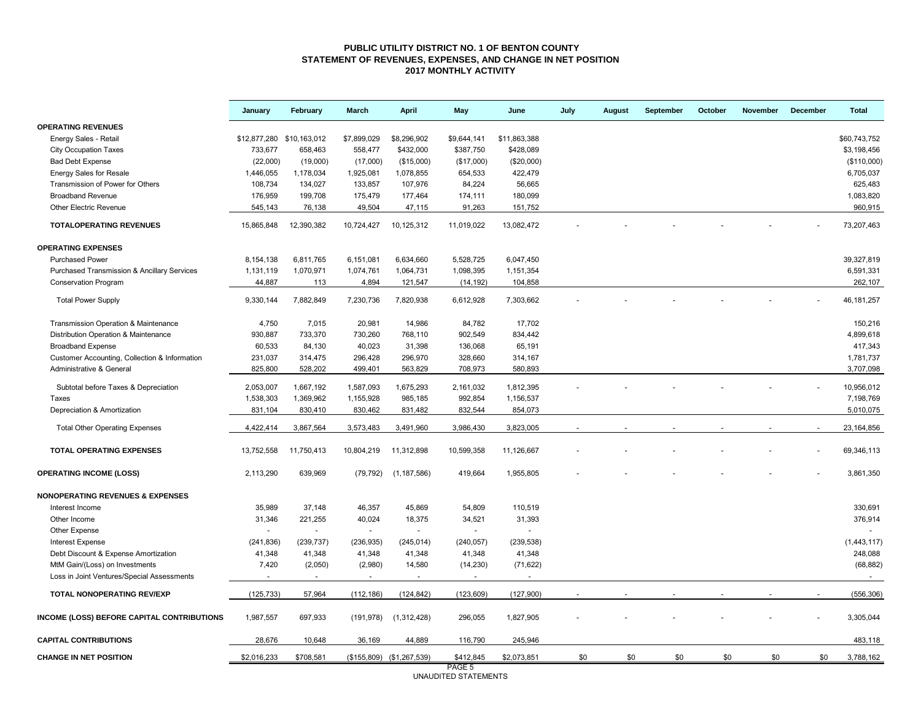#### **PUBLIC UTILITY DISTRICT NO. 1 OF BENTON COUNTY STATEMENT OF REVENUES, EXPENSES, AND CHANGE IN NET POSITION 2017 MONTHLY ACTIVITY**

|                                                        | January                   | February   | March          | <b>April</b>              | May                            | June         | July | August | September | October | November | December | <b>Total</b> |
|--------------------------------------------------------|---------------------------|------------|----------------|---------------------------|--------------------------------|--------------|------|--------|-----------|---------|----------|----------|--------------|
| <b>OPERATING REVENUES</b>                              |                           |            |                |                           |                                |              |      |        |           |         |          |          |              |
| Energy Sales - Retail                                  | \$12,877,280 \$10,163,012 |            | \$7,899,029    | \$8,296,902               | \$9,644,141                    | \$11,863,388 |      |        |           |         |          |          | \$60,743,752 |
| <b>City Occupation Taxes</b>                           | 733,677                   | 658,463    | 558,477        | \$432,000                 | \$387,750                      | \$428,089    |      |        |           |         |          |          | \$3,198,456  |
| <b>Bad Debt Expense</b>                                | (22,000)                  | (19,000)   | (17,000)       | (\$15,000)                | (\$17,000)                     | (\$20,000)   |      |        |           |         |          |          | (\$110,000)  |
| <b>Energy Sales for Resale</b>                         | 1,446,055                 | 1,178,034  | 1,925,081      | 1,078,855                 | 654,533                        | 422,479      |      |        |           |         |          |          | 6,705,037    |
| Transmission of Power for Others                       | 108,734                   | 134,027    | 133,857        | 107,976                   | 84,224                         | 56,665       |      |        |           |         |          |          | 625,483      |
| <b>Broadband Revenue</b>                               | 176,959                   | 199,708    | 175,479        | 177,464                   | 174,111                        | 180,099      |      |        |           |         |          |          | 1,083,820    |
| <b>Other Electric Revenue</b>                          | 545,143                   | 76,138     | 49,504         | 47,115                    | 91,263                         | 151,752      |      |        |           |         |          |          | 960,915      |
| <b>TOTALOPERATING REVENUES</b>                         | 15,865,848                | 12,390,382 | 10,724,427     | 10,125,312                | 11,019,022                     | 13,082,472   |      |        |           |         |          |          | 73,207,463   |
| <b>OPERATING EXPENSES</b>                              |                           |            |                |                           |                                |              |      |        |           |         |          |          |              |
| <b>Purchased Power</b>                                 | 8,154,138                 | 6,811,765  | 6,151,081      | 6,634,660                 | 5,528,725                      | 6,047,450    |      |        |           |         |          |          | 39,327,819   |
| <b>Purchased Transmission &amp; Ancillary Services</b> | 1,131,119                 | 1,070,971  | 1,074,761      | 1,064,731                 | 1,098,395                      | 1,151,354    |      |        |           |         |          |          | 6,591,331    |
| <b>Conservation Program</b>                            | 44,887                    | 113        | 4,894          | 121,547                   | (14, 192)                      | 104,858      |      |        |           |         |          |          | 262,107      |
| <b>Total Power Supply</b>                              | 9,330,144                 | 7,882,849  | 7,230,736      | 7,820,938                 | 6,612,928                      | 7,303,662    |      |        |           |         |          |          | 46, 181, 257 |
| Transmission Operation & Maintenance                   | 4,750                     | 7,015      | 20,981         | 14,986                    | 84,782                         | 17,702       |      |        |           |         |          |          | 150,216      |
| Distribution Operation & Maintenance                   | 930,887                   | 733,370    | 730,260        | 768,110                   | 902,549                        | 834,442      |      |        |           |         |          |          | 4,899,618    |
| <b>Broadband Expense</b>                               | 60,533                    | 84,130     | 40,023         | 31,398                    | 136,068                        | 65,191       |      |        |           |         |          |          | 417,343      |
| Customer Accounting, Collection & Information          | 231,037                   | 314,475    | 296,428        | 296,970                   | 328,660                        | 314,167      |      |        |           |         |          |          | 1,781,737    |
| Administrative & General                               | 825,800                   | 528,202    | 499,401        | 563,829                   | 708,973                        | 580,893      |      |        |           |         |          |          | 3,707,098    |
| Subtotal before Taxes & Depreciation                   | 2,053,007                 | 1,667,192  | 1,587,093      | 1,675,293                 | 2,161,032                      | 1,812,395    |      |        |           |         |          |          | 10,956,012   |
| Taxes                                                  | 1,538,303                 | 1,369,962  | 1,155,928      | 985,185                   | 992,854                        | 1,156,537    |      |        |           |         |          |          | 7,198,769    |
| Depreciation & Amortization                            | 831,104                   | 830,410    | 830,462        | 831,482                   | 832,544                        | 854,073      |      |        |           |         |          |          | 5,010,075    |
| <b>Total Other Operating Expenses</b>                  | 4,422,414                 | 3,867,564  | 3,573,483      | 3,491,960                 | 3,986,430                      | 3,823,005    |      |        |           |         |          |          | 23, 164, 856 |
| <b>TOTAL OPERATING EXPENSES</b>                        | 13,752,558                | 11,750,413 | 10,804,219     | 11,312,898                | 10,599,358                     | 11,126,667   |      |        |           |         |          |          | 69,346,113   |
|                                                        |                           |            |                |                           |                                |              |      |        |           |         |          |          |              |
| <b>OPERATING INCOME (LOSS)</b>                         | 2,113,290                 | 639,969    | (79, 792)      | (1, 187, 586)             | 419,664                        | 1,955,805    |      |        |           |         |          |          | 3.861.350    |
| <b>NONOPERATING REVENUES &amp; EXPENSES</b>            |                           |            |                |                           |                                |              |      |        |           |         |          |          |              |
| Interest Income                                        | 35,989                    | 37,148     | 46,357         | 45,869                    | 54,809                         | 110,519      |      |        |           |         |          |          | 330,691      |
| Other Income                                           | 31,346                    | 221,255    | 40,024         | 18,375                    | 34,521                         | 31,393       |      |        |           |         |          |          | 376,914      |
| Other Expense                                          |                           | $\sim$     | $\overline{a}$ | $\sim$                    | $\sim$                         |              |      |        |           |         |          |          |              |
| <b>Interest Expense</b>                                | (241, 836)                | (239, 737) | (236, 935)     | (245, 014)                | (240, 057)                     | (239, 538)   |      |        |           |         |          |          | (1,443,117)  |
| Debt Discount & Expense Amortization                   | 41,348                    | 41,348     | 41,348         | 41,348                    | 41,348                         | 41,348       |      |        |           |         |          |          | 248,088      |
| MtM Gain/(Loss) on Investments                         | 7,420                     | (2,050)    | (2,980)        | 14,580                    | (14, 230)                      | (71, 622)    |      |        |           |         |          |          | (68, 882)    |
| Loss in Joint Ventures/Special Assessments             |                           | $\sim$     | $\blacksquare$ | $\blacksquare$            | $\overline{\phantom{a}}$       |              |      |        |           |         |          |          |              |
| TOTAL NONOPERATING REV/EXP                             | (125, 733)                | 57,964     | (112, 186)     | (124, 842)                | (123, 609)                     | (127,900)    |      |        |           |         |          |          | (556, 306)   |
| INCOME (LOSS) BEFORE CAPITAL CONTRIBUTIONS             | 1,987,557                 | 697,933    | (191, 978)     | (1,312,428)               | 296,055                        | 1,827,905    |      |        |           |         |          |          | 3,305,044    |
| <b>CAPITAL CONTRIBUTIONS</b>                           | 28,676                    | 10,648     | 36,169         | 44,889                    | 116,790                        | 245,946      |      |        |           |         |          |          | 483,118      |
| <b>CHANGE IN NET POSITION</b>                          | \$2,016,233               | \$708,581  |                | (\$155,809) (\$1,267,539) | \$412,845                      | \$2,073,851  | \$0  | \$0    | \$0       | \$0     | \$0      | \$0      | 3,788,162    |
|                                                        |                           |            |                |                           | PAGE 5<br>UNAUDITED STATEMENTS |              |      |        |           |         |          |          |              |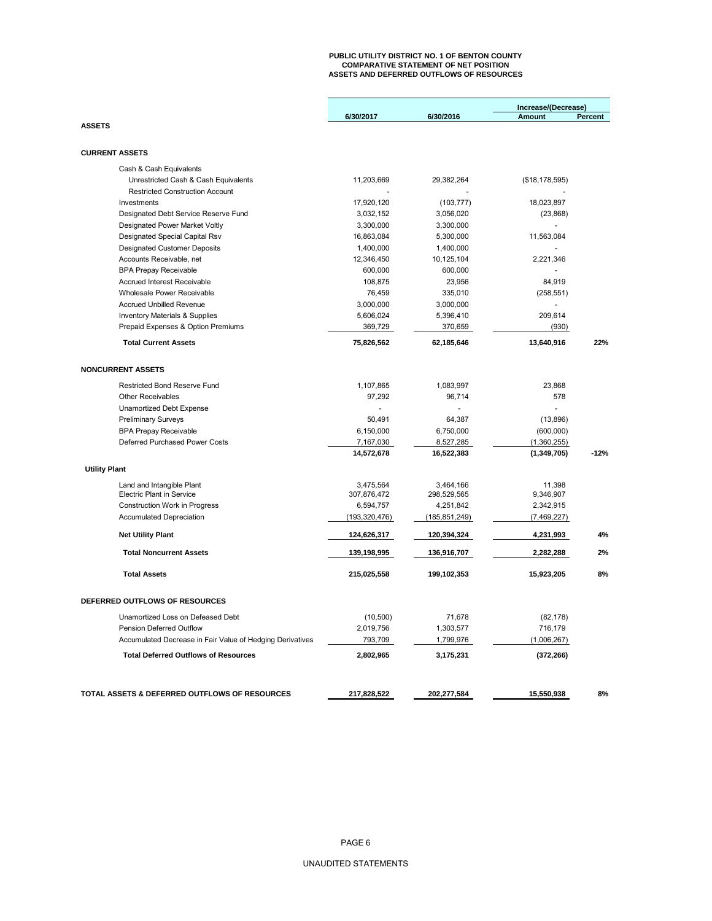# **PUBLIC UTILITY DISTRICT NO. 1 OF BENTON COUNTY COMPARATIVE STATEMENT OF NET POSITION ASSETS AND DEFERRED OUTFLOWS OF RESOURCES**

|                                                           |                 |               | Increase/(Decrease) |         |
|-----------------------------------------------------------|-----------------|---------------|---------------------|---------|
|                                                           | 6/30/2017       | 6/30/2016     | <b>Amount</b>       | Percent |
| <b>ASSETS</b>                                             |                 |               |                     |         |
|                                                           |                 |               |                     |         |
| <b>CURRENT ASSETS</b>                                     |                 |               |                     |         |
| Cash & Cash Equivalents                                   |                 |               |                     |         |
| Unrestricted Cash & Cash Equivalents                      | 11,203,669      | 29,382,264    | (\$18, 178, 595)    |         |
| <b>Restricted Construction Account</b>                    |                 |               |                     |         |
| Investments                                               | 17,920,120      | (103, 777)    | 18,023,897          |         |
| Designated Debt Service Reserve Fund                      | 3,032,152       | 3,056,020     | (23, 868)           |         |
| Designated Power Market Voltly                            | 3,300,000       | 3,300,000     |                     |         |
| Designated Special Capital Rsv                            | 16,863,084      | 5,300,000     | 11,563,084          |         |
| <b>Designated Customer Deposits</b>                       | 1,400,000       | 1,400,000     |                     |         |
| Accounts Receivable, net                                  | 12,346,450      | 10,125,104    | 2,221,346           |         |
| <b>BPA Prepay Receivable</b>                              | 600,000         | 600,000       |                     |         |
| <b>Accrued Interest Receivable</b>                        | 108,875         | 23,956        | 84,919              |         |
| Wholesale Power Receivable                                | 76,459          | 335,010       | (258, 551)          |         |
| <b>Accrued Unbilled Revenue</b>                           | 3,000,000       | 3,000,000     |                     |         |
| <b>Inventory Materials &amp; Supplies</b>                 | 5,606,024       | 5,396,410     | 209,614             |         |
| Prepaid Expenses & Option Premiums                        | 369,729         | 370,659       | (930)               |         |
|                                                           |                 |               |                     |         |
| <b>Total Current Assets</b>                               | 75,826,562      | 62,185,646    | 13,640,916          | 22%     |
|                                                           |                 |               |                     |         |
| <b>NONCURRENT ASSETS</b>                                  |                 |               |                     |         |
| Restricted Bond Reserve Fund                              | 1,107,865       | 1,083,997     | 23,868              |         |
| <b>Other Receivables</b>                                  | 97,292          | 96,714        | 578                 |         |
| Unamortized Debt Expense                                  |                 |               | $\overline{a}$      |         |
| <b>Preliminary Surveys</b>                                | 50,491          | 64,387        | (13, 896)           |         |
| <b>BPA Prepay Receivable</b>                              | 6,150,000       | 6,750,000     | (600,000)           |         |
| Deferred Purchased Power Costs                            | 7,167,030       | 8,527,285     | (1,360,255)         |         |
|                                                           | 14,572,678      | 16,522,383    | (1,349,705)         | $-12%$  |
| <b>Utility Plant</b>                                      |                 |               |                     |         |
|                                                           |                 |               |                     |         |
| Land and Intangible Plant                                 | 3,475,564       | 3,464,166     | 11,398              |         |
| Electric Plant in Service                                 | 307,876,472     | 298,529,565   | 9,346,907           |         |
| Construction Work in Progress                             | 6,594,757       | 4,251,842     | 2,342,915           |         |
| <b>Accumulated Depreciation</b>                           | (193, 320, 476) | (185,851,249) | (7, 469, 227)       |         |
| <b>Net Utility Plant</b>                                  | 124,626,317     | 120,394,324   | 4,231,993           | 4%      |
| <b>Total Noncurrent Assets</b>                            | 139,198,995     | 136,916,707   | 2,282,288           | 2%      |
| <b>Total Assets</b>                                       | 215,025,558     | 199,102,353   | 15,923,205          | 8%      |
| DEFERRED OUTFLOWS OF RESOURCES                            |                 |               |                     |         |
|                                                           |                 |               |                     |         |
| Unamortized Loss on Defeased Debt                         | (10, 500)       | 71,678        | (82, 178)           |         |
| Pension Deferred Outflow                                  | 2,019,756       | 1,303,577     | 716,179             |         |
| Accumulated Decrease in Fair Value of Hedging Derivatives | 793,709         | 1,799,976     | (1,006,267)         |         |
| <b>Total Deferred Outflows of Resources</b>               | 2,802,965       | 3,175,231     | (372, 266)          |         |
|                                                           |                 |               |                     |         |
| TOTAL ASSETS & DEFERRED OUTFLOWS OF RESOURCES             | 217,828,522     | 202,277,584   | 15,550,938          | 8%      |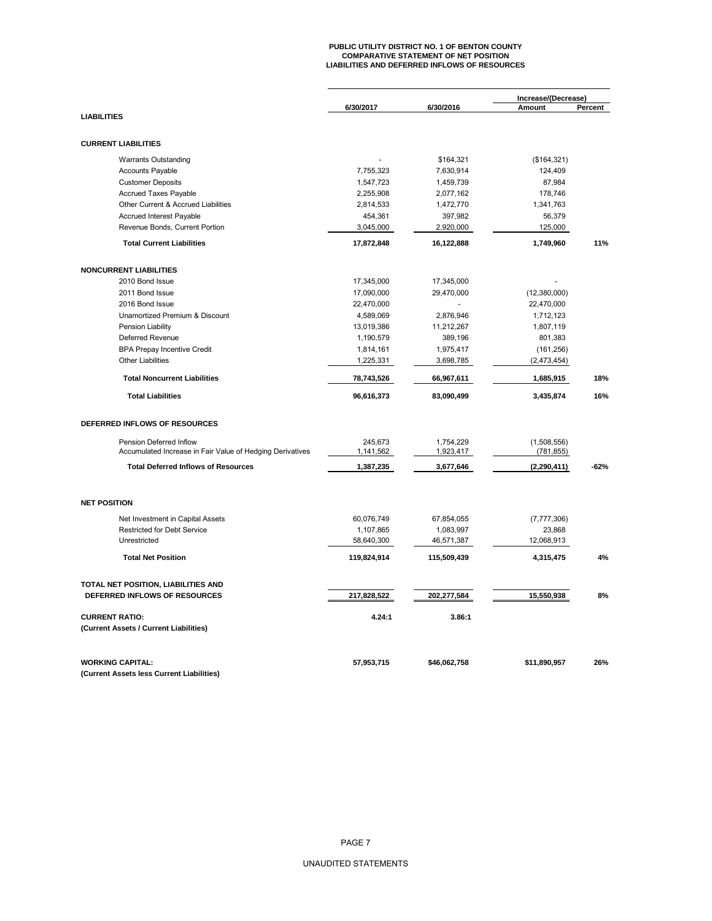# **PUBLIC UTILITY DISTRICT NO. 1 OF BENTON COUNTY COMPARATIVE STATEMENT OF NET POSITION LIABILITIES AND DEFERRED INFLOWS OF RESOURCES**

|                                                           | 6/30/2017   | 6/30/2016    | Increase/(Decrease)<br>Amount | Percent |
|-----------------------------------------------------------|-------------|--------------|-------------------------------|---------|
| <b>LIABILITIES</b>                                        |             |              |                               |         |
| <b>CURRENT LIABILITIES</b>                                |             |              |                               |         |
| <b>Warrants Outstanding</b>                               |             | \$164,321    | (\$164,321)                   |         |
| <b>Accounts Payable</b>                                   | 7,755,323   | 7,630,914    | 124,409                       |         |
| <b>Customer Deposits</b>                                  | 1,547,723   | 1,459,739    | 87,984                        |         |
| <b>Accrued Taxes Payable</b>                              | 2,255,908   | 2,077,162    | 178,746                       |         |
| Other Current & Accrued Liabilities                       | 2,814,533   | 1,472,770    | 1,341,763                     |         |
| Accrued Interest Payable                                  | 454,361     | 397,982      | 56,379                        |         |
| Revenue Bonds, Current Portion                            | 3,045,000   | 2,920,000    | 125,000                       |         |
| <b>Total Current Liabilities</b>                          | 17,872,848  | 16,122,888   | 1,749,960                     | 11%     |
|                                                           |             |              |                               |         |
| <b>NONCURRENT LIABILITIES</b>                             |             |              |                               |         |
| 2010 Bond Issue                                           | 17,345,000  | 17,345,000   |                               |         |
| 2011 Bond Issue                                           | 17,090,000  | 29,470,000   | (12,380,000)                  |         |
| 2016 Bond Issue                                           | 22,470,000  |              | 22,470,000                    |         |
| Unamortized Premium & Discount                            | 4,589,069   | 2,876,946    | 1,712,123                     |         |
| Pension Liability                                         | 13,019,386  | 11,212,267   | 1,807,119                     |         |
| Deferred Revenue                                          | 1,190,579   | 389,196      | 801,383                       |         |
| <b>BPA Prepay Incentive Credit</b>                        | 1,814,161   | 1,975,417    | (161, 256)                    |         |
| <b>Other Liabilities</b>                                  | 1,225,331   | 3,698,785    | (2,473,454)                   |         |
| <b>Total Noncurrent Liabilities</b>                       | 78,743,526  | 66,967,611   | 1,685,915                     | 18%     |
| <b>Total Liabilities</b>                                  | 96,616,373  | 83,090,499   | 3,435,874                     | 16%     |
| DEFERRED INFLOWS OF RESOURCES                             |             |              |                               |         |
| Pension Deferred Inflow                                   | 245.673     | 1.754.229    | (1,508,556)                   |         |
| Accumulated Increase in Fair Value of Hedging Derivatives | 1,141,562   | 1,923,417    | (781, 855)                    |         |
| <b>Total Deferred Inflows of Resources</b>                | 1,387,235   | 3,677,646    | (2, 290, 411)                 | $-62%$  |
| <b>NET POSITION</b>                                       |             |              |                               |         |
| Net Investment in Capital Assets                          | 60,076,749  | 67,854,055   | (7, 777, 306)                 |         |
| <b>Restricted for Debt Service</b>                        | 1,107,865   | 1,083,997    | 23,868                        |         |
| Unrestricted                                              | 58,640,300  | 46,571,387   | 12,068,913                    |         |
| <b>Total Net Position</b>                                 | 119,824,914 | 115,509,439  | 4,315,475                     | 4%      |
| TOTAL NET POSITION, LIABILITIES AND                       |             |              |                               |         |
| DEFERRED INFLOWS OF RESOURCES                             | 217,828,522 | 202,277,584  | 15,550,938                    | 8%      |
| <b>CURRENT RATIO:</b>                                     | 4.24:1      | 3.86:1       |                               |         |
| (Current Assets / Current Liabilities)                    |             |              |                               |         |
| <b>WORKING CAPITAL:</b>                                   | 57,953,715  | \$46,062,758 | \$11,890,957                  | 26%     |
| (Current Assets less Current Liabilities)                 |             |              |                               |         |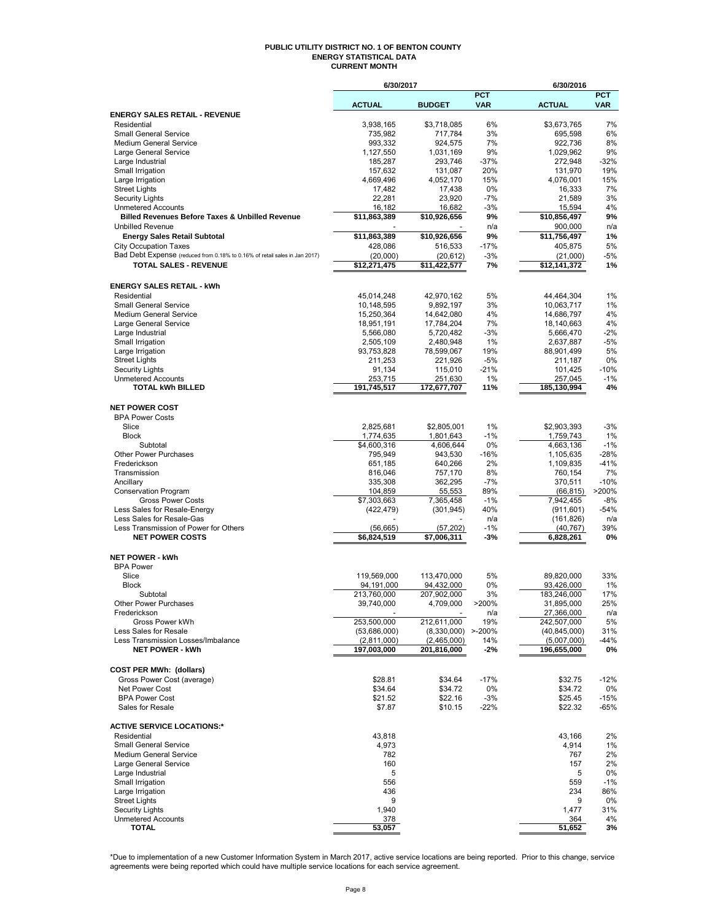#### **PUBLIC UTILITY DISTRICT NO. 1 OF BENTON COUNTY ENERGY STATISTICAL DATA CURRENT MONTH**

|                                                                                       | 6/30/2017                  |                            |                          | 6/30/2016                  |                          |
|---------------------------------------------------------------------------------------|----------------------------|----------------------------|--------------------------|----------------------------|--------------------------|
|                                                                                       | <b>ACTUAL</b>              | <b>BUDGET</b>              | <b>PCT</b><br><b>VAR</b> | <b>ACTUAL</b>              | <b>PCT</b><br><b>VAR</b> |
| <b>ENERGY SALES RETAIL - REVENUE</b>                                                  |                            |                            |                          |                            |                          |
| Residential                                                                           | 3,938,165                  | \$3,718,085                | 6%                       | \$3,673,765                | 7%                       |
| <b>Small General Service</b>                                                          | 735,982                    | 717,784                    | 3%                       | 695,598                    | 6%                       |
| Medium General Service                                                                | 993,332                    | 924.575                    | 7%                       | 922,736                    | 8%                       |
| Large General Service                                                                 | 1,127,550<br>185,287       | 1,031,169                  | 9%<br>$-37%$             | 1,029,962                  | 9%<br>$-32%$             |
| Large Industrial<br>Small Irrigation                                                  | 157,632                    | 293,746<br>131,087         | 20%                      | 272,948<br>131,970         | 19%                      |
| Large Irrigation                                                                      | 4,669,496                  | 4,052,170                  | 15%                      | 4,076,001                  | 15%                      |
| <b>Street Lights</b>                                                                  | 17,482                     | 17,438                     | 0%                       | 16,333                     | 7%                       |
| <b>Security Lights</b>                                                                | 22,281                     | 23,920                     | $-7%$                    | 21,589                     | 3%                       |
| <b>Unmetered Accounts</b>                                                             | 16,182                     | 16,682                     | $-3%$                    | 15,594                     | 4%                       |
| <b>Billed Revenues Before Taxes &amp; Unbilled Revenue</b><br><b>Unbilled Revenue</b> | \$11,863,389               | \$10,926,656               | 9%<br>n/a                | \$10,856,497<br>900,000    | 9%<br>n/a                |
| <b>Energy Sales Retail Subtotal</b>                                                   | \$11,863,389               | \$10,926,656               | 9%                       | \$11,756,497               | 1%                       |
| <b>City Occupation Taxes</b>                                                          | 428,086                    | 516.533                    | $-17%$                   | 405,875                    | 5%                       |
| Bad Debt Expense (reduced from 0.18% to 0.16% of retail sales in Jan 2017)            | (20,000)                   | (20, 612)                  | $-3%$                    | (21,000)                   | -5%                      |
| <b>TOTAL SALES - REVENUE</b>                                                          | \$12,271,475               | \$11,422,577               | 7%                       | \$12,141,372               | 1%                       |
|                                                                                       |                            |                            |                          |                            |                          |
| <b>ENERGY SALES RETAIL - kWh</b>                                                      |                            |                            |                          |                            |                          |
| Residential<br><b>Small General Service</b>                                           | 45,014,248<br>10,148,595   | 42,970,162<br>9,892,197    | 5%<br>3%                 | 44,464,304<br>10,063,717   | 1%<br>1%                 |
| <b>Medium General Service</b>                                                         | 15,250,364                 | 14,642,080                 | 4%                       | 14,686,797                 | 4%                       |
| Large General Service                                                                 | 18,951,191                 | 17,784,204                 | 7%                       | 18,140,663                 | 4%                       |
| Large Industrial                                                                      | 5,566,080                  | 5,720,482                  | $-3%$                    | 5,666,470                  | $-2%$                    |
| Small Irrigation                                                                      | 2,505,109                  | 2,480,948                  | 1%                       | 2,637,887                  | $-5%$                    |
| Large Irrigation                                                                      | 93,753,828                 | 78,599,067                 | 19%                      | 88,901,499                 | 5%                       |
| <b>Street Lights</b>                                                                  | 211,253                    | 221,926                    | $-5%$                    | 211,187                    | 0%                       |
| <b>Security Lights</b><br><b>Unmetered Accounts</b>                                   | 91,134<br>253,715          | 115,010<br>251,630         | $-21%$<br>1%             | 101,425<br>257,045         | $-10%$<br>$-1%$          |
| <b>TOTAL kWh BILLED</b>                                                               | 191,745,517                | 172,677,707                | 11%                      | 185,130,994                | 4%                       |
|                                                                                       |                            |                            |                          |                            |                          |
| <b>NET POWER COST</b>                                                                 |                            |                            |                          |                            |                          |
| <b>BPA Power Costs</b>                                                                |                            |                            |                          |                            |                          |
| Slice                                                                                 | 2,825,681                  | \$2,805,001                | 1%                       | \$2,903,393                | $-3%$                    |
| <b>Block</b><br>Subtotal                                                              | 1,774,635<br>\$4,600,316   | 1,801,643<br>4,606,644     | $-1%$<br>0%              | 1,759,743<br>4,663,136     | 1%<br>$-1%$              |
| Other Power Purchases                                                                 | 795,949                    | 943,530                    | $-16%$                   | 1,105,635                  | $-28%$                   |
| Frederickson                                                                          | 651,185                    | 640,266                    | 2%                       | 1,109,835                  | $-41%$                   |
| Transmission                                                                          | 816,046                    | 757,170                    | 8%                       | 760,154                    | 7%                       |
| Ancillary                                                                             | 335,308                    | 362,295                    | $-7%$                    | 370,511                    | $-10%$                   |
| <b>Conservation Program</b>                                                           | 104,859                    | 55,553                     | 89%                      | (66, 815)                  | >200%                    |
| <b>Gross Power Costs</b>                                                              | \$7,303,663                | 7,365,458                  | $-1%$                    | 7,942,455                  | -8%                      |
| Less Sales for Resale-Energy<br>Less Sales for Resale-Gas                             | (422, 479)                 | (301, 945)                 | 40%<br>n/a               | (911, 601)<br>(161, 826)   | $-54%$<br>n/a            |
| Less Transmission of Power for Others                                                 | (56, 665)                  | (57, 202)                  | $-1%$                    | (40, 767)                  | 39%                      |
| <b>NET POWER COSTS</b>                                                                | \$6,824,519                | \$7,006,311                | $-3%$                    | 6,828,261                  | 0%                       |
|                                                                                       |                            |                            |                          |                            |                          |
| <b>NET POWER - kWh</b>                                                                |                            |                            |                          |                            |                          |
| <b>BPA Power</b><br>Slice                                                             |                            |                            | 5%                       |                            | 33%                      |
| <b>Block</b>                                                                          | 119,569,000<br>94,191,000  | 113,470,000<br>94,432,000  | 0%                       | 89,820,000<br>93,426,000   | 1%                       |
| Subtotal                                                                              | 213,760,000                | 207,902,000                | 3%                       | 183,246,000                | 17%                      |
| <b>Other Power Purchases</b>                                                          | 39,740,000                 | 4,709,000                  | >200%                    | 31,895,000                 | 25%                      |
| Frederickson                                                                          |                            |                            | n/a                      | 27,366,000                 | n/a                      |
| Gross Power kWh                                                                       | 253,500,000                | 212,611,000                | 19%                      | 242,507,000                | 5%                       |
| Less Sales for Resale                                                                 | (53,686,000)               | $(8,330,000)$ >-200%       |                          | (40, 845, 000)             | 31%                      |
| Less Transmission Losses/Imbalance<br><b>NET POWER - kWh</b>                          | (2,811,000)<br>197,003,000 | (2,465,000)<br>201,816,000 | 14%<br>$-2%$             | (5,007,000)<br>196,655,000 | $-44%$<br>0%             |
|                                                                                       |                            |                            |                          |                            |                          |
| <b>COST PER MWh: (dollars)</b>                                                        |                            |                            |                          |                            |                          |
| Gross Power Cost (average)                                                            | \$28.81                    | \$34.64                    | $-17%$                   | \$32.75                    | $-12%$                   |
| Net Power Cost                                                                        | \$34.64                    | \$34.72                    | 0%                       | \$34.72                    | 0%                       |
| <b>BPA Power Cost</b><br>Sales for Resale                                             | \$21.52<br>\$7.87          | \$22.16<br>\$10.15         | $-3%$<br>$-22%$          | \$25.45<br>\$22.32         | $-15%$<br>-65%           |
|                                                                                       |                            |                            |                          |                            |                          |
| <b>ACTIVE SERVICE LOCATIONS:*</b>                                                     |                            |                            |                          |                            |                          |
| Residential                                                                           | 43,818                     |                            |                          | 43,166                     | 2%                       |
| <b>Small General Service</b>                                                          | 4,973                      |                            |                          | 4,914                      | 1%                       |
| Medium General Service                                                                | 782                        |                            |                          | 767                        | 2%                       |
| Large General Service                                                                 | 160                        |                            |                          | 157                        | 2%                       |
| Large Industrial<br>Small Irrigation                                                  | 5<br>556                   |                            |                          | 5<br>559                   | 0%<br>$-1%$              |
| Large Irrigation                                                                      | 436                        |                            |                          | 234                        | 86%                      |
| <b>Street Lights</b>                                                                  | 9                          |                            |                          | 9                          | 0%                       |
| <b>Security Lights</b>                                                                | 1,940                      |                            |                          | 1,477                      | 31%                      |
| <b>Unmetered Accounts</b>                                                             | 378                        |                            |                          | 364                        | 4%                       |
| <b>TOTAL</b>                                                                          | 53,057                     |                            |                          | 51,652                     | 3%                       |

\*Due to implementation of a new Customer Information System in March 2017, active service locations are being reported. Prior to this change, service<br>agreements were being reported which could have multiple service locati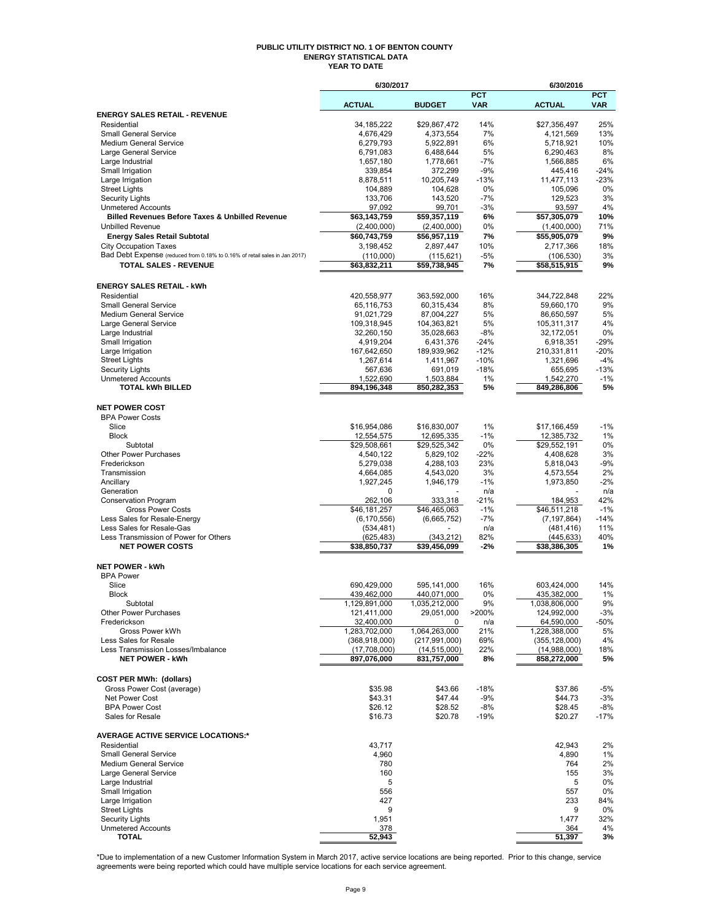#### **PUBLIC UTILITY DISTRICT NO. 1 OF BENTON COUNTY ENERGY STATISTICAL DATA YEAR TO DATE**

|                                                                            | 6/30/2017                   |                                  |                          | 6/30/2016                        |                          |
|----------------------------------------------------------------------------|-----------------------------|----------------------------------|--------------------------|----------------------------------|--------------------------|
|                                                                            | <b>ACTUAL</b>               | <b>BUDGET</b>                    | <b>PCT</b><br><b>VAR</b> | <b>ACTUAL</b>                    | <b>PCT</b><br><b>VAR</b> |
| <b>ENERGY SALES RETAIL - REVENUE</b>                                       |                             |                                  |                          |                                  |                          |
| Residential                                                                | 34,185,222                  | \$29,867,472                     | 14%                      | \$27,356,497                     | 25%                      |
| <b>Small General Service</b>                                               | 4,676,429                   | 4,373,554                        | 7%                       | 4,121,569                        | 13%                      |
| Medium General Service                                                     | 6,279,793                   | 5,922,891                        | 6%                       | 5,718,921                        | 10%                      |
| Large General Service<br>Large Industrial                                  | 6,791,083<br>1,657,180      | 6,488,644<br>1,778,661           | 5%<br>$-7%$              | 6,290,463<br>1,566,885           | 8%<br>6%                 |
| Small Irrigation                                                           | 339,854                     | 372,299                          | $-9%$                    | 445,416                          | $-24%$                   |
| Large Irrigation                                                           | 8,878,511                   | 10,205,749                       | -13%                     | 11,477,113                       | $-23%$                   |
| <b>Street Lights</b>                                                       | 104,889                     | 104,628                          | 0%                       | 105,096                          | 0%                       |
| <b>Security Lights</b><br><b>Unmetered Accounts</b>                        | 133,706                     | 143,520                          | $-7%$                    | 129,523<br>93,597                | 3%<br>4%                 |
| <b>Billed Revenues Before Taxes &amp; Unbilled Revenue</b>                 | 97,092<br>\$63,143,759      | 99,701<br>\$59,357,119           | $-3%$<br>6%              | \$57,305,079                     | 10%                      |
| <b>Unbilled Revenue</b>                                                    | (2,400,000)                 | (2,400,000)                      | 0%                       | (1,400,000)                      | 71%                      |
| <b>Energy Sales Retail Subtotal</b>                                        | \$60,743,759                | \$56,957,119                     | 7%                       | \$55,905,079                     | 9%                       |
| <b>City Occupation Taxes</b>                                               | 3,198,452                   | 2,897,447                        | 10%                      | 2,717,366                        | 18%                      |
| Bad Debt Expense (reduced from 0.18% to 0.16% of retail sales in Jan 2017) | (110,000)                   | (115, 621)                       | -5%                      | (106, 530)                       | 3%                       |
| <b>TOTAL SALES - REVENUE</b>                                               | \$63,832,211                | \$59,738,945                     | 7%                       | \$58,515,915                     | 9%                       |
|                                                                            |                             |                                  |                          |                                  |                          |
| <b>ENERGY SALES RETAIL - kWh</b><br>Residential                            |                             |                                  | 16%                      |                                  | 22%                      |
| <b>Small General Service</b>                                               | 420,558,977<br>65,116,753   | 363,592,000<br>60,315,434        | 8%                       | 344,722,848<br>59,660,170        | 9%                       |
| <b>Medium General Service</b>                                              | 91,021,729                  | 87,004,227                       | 5%                       | 86,650,597                       | 5%                       |
| Large General Service                                                      | 109,318,945                 | 104,363,821                      | 5%                       | 105,311,317                      | 4%                       |
| Large Industrial                                                           | 32,260,150                  | 35,028,663                       | $-8%$                    | 32,172,051                       | 0%                       |
| Small Irrigation                                                           | 4,919,204                   | 6,431,376                        | -24%                     | 6,918,351                        | -29%                     |
| Large Irrigation                                                           | 167,642,650                 | 189,939,962                      | $-12%$                   | 210,331,811                      | $-20%$                   |
| <b>Street Lights</b>                                                       | 1,267,614                   | 1,411,967                        | $-10%$<br>$-18%$         | 1,321,696                        | $-4%$                    |
| <b>Security Lights</b><br><b>Unmetered Accounts</b>                        | 567,636<br>1,522,690        | 691,019<br>1,503,884             | 1%                       | 655,695<br>1,542,270             | $-13%$<br>$-1%$          |
| <b>TOTAL kWh BILLED</b>                                                    | 894,196,348                 | 850,282,353                      | 5%                       | 849,286,806                      | 5%                       |
|                                                                            |                             |                                  |                          |                                  |                          |
| <b>NET POWER COST</b>                                                      |                             |                                  |                          |                                  |                          |
| <b>BPA Power Costs</b>                                                     |                             |                                  |                          |                                  |                          |
| Slice<br><b>Block</b>                                                      | \$16,954,086                | \$16,830,007                     | 1%<br>$-1%$              | \$17,166,459                     | $-1%$<br>1%              |
| Subtotal                                                                   | 12,554,575<br>\$29,508,661  | 12,695,335<br>\$29,525,342       | 0%                       | 12,385,732<br>\$29,552,191       | 0%                       |
| <b>Other Power Purchases</b>                                               | 4,540,122                   | 5,829,102                        | $-22%$                   | 4,408,628                        | 3%                       |
| Frederickson                                                               | 5,279,038                   | 4,288,103                        | 23%                      | 5,818,043                        | -9%                      |
| Transmission                                                               | 4,664,085                   | 4,543,020                        | 3%                       | 4,573,554                        | 2%                       |
| Ancillary                                                                  | 1,927,245                   | 1,946,179                        | $-1%$                    | 1,973,850                        | $-2%$                    |
| Generation                                                                 | 0                           |                                  | n/a                      |                                  | n/a                      |
| <b>Conservation Program</b><br><b>Gross Power Costs</b>                    | 262,106<br>\$46,181,257     | 333,318<br>\$46,465,063          | -21%<br>$-1%$            | 184,953<br>\$46,511,218          | 42%<br>$-1%$             |
| Less Sales for Resale-Energy                                               | (6, 170, 556)               | (6,665,752)                      | -7%                      | (7, 197, 864)                    | $-14%$                   |
| Less Sales for Resale-Gas                                                  | (534, 481)                  |                                  | n/a                      | (481, 416)                       | 11%                      |
| Less Transmission of Power for Others                                      | (625, 483)                  | (343, 212)                       | 82%                      | (445, 633)                       | 40%                      |
| <b>NET POWER COSTS</b>                                                     | \$38,850,737                | \$39,456,099                     | -2%                      | \$38,386,305                     | 1%                       |
| <b>NET POWER - kWh</b>                                                     |                             |                                  |                          |                                  |                          |
| <b>BPA Power</b>                                                           |                             |                                  |                          |                                  |                          |
| Slice                                                                      | 690,429,000                 | 595,141,000                      | 16%                      | 603,424,000                      | 14%                      |
| <b>Block</b>                                                               | 439,462,000                 | 440,071,000                      | 0%                       | 435,382,000                      | 1%                       |
| Subtotal                                                                   | 1,129,891,000               | 1,035,212,000                    | $9\%$                    | 1,038,806,000                    | 9%                       |
| Other Power Purchases                                                      | 121,411,000                 | 29,051,000                       | >200%                    | 124,992,000                      | $-3%$                    |
| Frederickson                                                               | 32,400,000<br>1,283,702,000 | 0                                | n/a                      | 64,590,000                       | -50%                     |
| Gross Power kWh<br>Less Sales for Resale                                   | (368, 918, 000)             | 1,064,263,000<br>(217, 991, 000) | 21%<br>69%               | 1,228,388,000<br>(355, 128, 000) | 5%<br>4%                 |
| Less Transmission Losses/Imbalance                                         | (17,708,000)                | (14, 515, 000)                   | 22%                      | (14,988,000)                     | 18%                      |
| <b>NET POWER - kWh</b>                                                     | 897,076,000                 | 831,757,000                      | 8%                       | 858,272,000                      | 5%                       |
|                                                                            |                             |                                  |                          |                                  |                          |
| <b>COST PER MWh: (dollars)</b>                                             |                             |                                  |                          |                                  |                          |
| Gross Power Cost (average)                                                 | \$35.98                     | \$43.66                          | $-18%$                   | \$37.86                          | -5%                      |
| Net Power Cost<br><b>BPA Power Cost</b>                                    | \$43.31<br>\$26.12          | \$47.44<br>\$28.52               | $-9%$<br>-8%             | \$44.73<br>\$28.45               | -3%<br>-8%               |
| Sales for Resale                                                           | \$16.73                     | \$20.78                          | $-19%$                   | \$20.27                          | $-17%$                   |
|                                                                            |                             |                                  |                          |                                  |                          |
| <b>AVERAGE ACTIVE SERVICE LOCATIONS:*</b>                                  |                             |                                  |                          |                                  |                          |
| Residential                                                                | 43,717                      |                                  |                          | 42.943                           | 2%                       |
| <b>Small General Service</b><br>Medium General Service                     | 4,960                       |                                  |                          | 4,890<br>764                     | 1%                       |
| Large General Service                                                      | 780<br>160                  |                                  |                          | 155                              | 2%<br>3%                 |
| Large Industrial                                                           | 5                           |                                  |                          | 5                                | 0%                       |
| Small Irrigation                                                           | 556                         |                                  |                          | 557                              | 0%                       |
| Large Irrigation                                                           | 427                         |                                  |                          | 233                              | 84%                      |
| <b>Street Lights</b>                                                       | 9                           |                                  |                          | 9                                | 0%                       |
| <b>Security Lights</b>                                                     | 1,951                       |                                  |                          | 1,477                            | 32%                      |
| <b>Unmetered Accounts</b><br><b>TOTAL</b>                                  | 378<br>52,943               |                                  |                          | 364<br>51,397                    | 4%<br>3%                 |
|                                                                            |                             |                                  |                          |                                  |                          |

\*Due to implementation of a new Customer Information System in March 2017, active service locations are being reported. Prior to this change, service<br>agreements were being reported which could have multiple service locati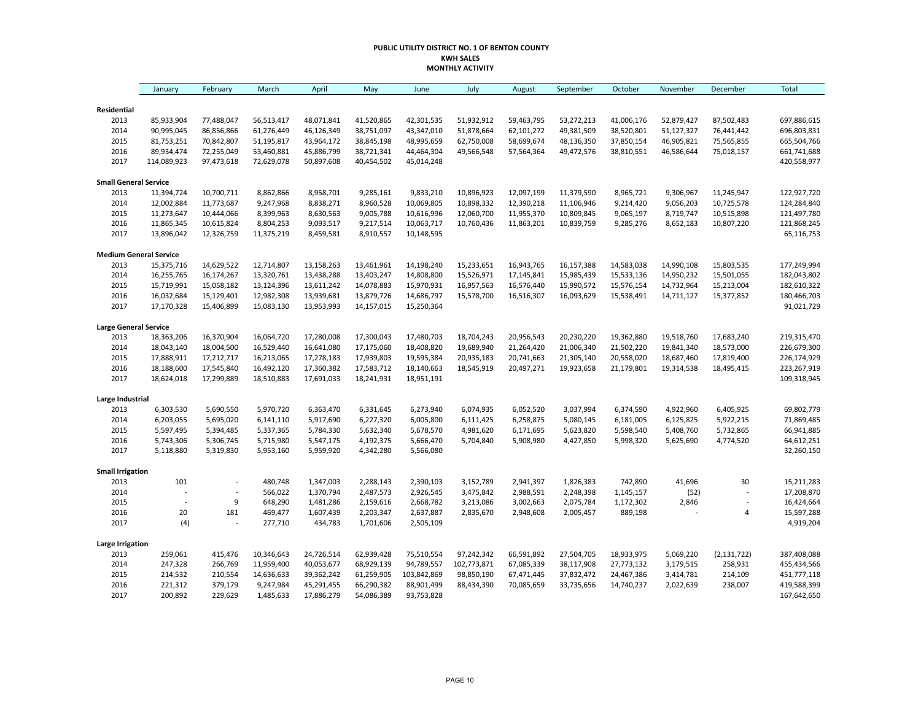#### **PUBLIC UTILITY DISTRICT NO. 1 OF BENTON COUNTY KWH SALES MONTHLY ACTIVITY**

|                               | January     | February       | March      | April      | May        | June        | July        | August     | September  | October    | November   | December                 | <b>Total</b> |
|-------------------------------|-------------|----------------|------------|------------|------------|-------------|-------------|------------|------------|------------|------------|--------------------------|--------------|
| Residential                   |             |                |            |            |            |             |             |            |            |            |            |                          |              |
| 2013                          | 85,933,904  | 77,488,047     | 56,513,417 | 48,071,841 | 41,520,865 | 42,301,535  | 51,932,912  | 59,463,795 | 53,272,213 | 41,006,176 | 52,879,427 | 87,502,483               | 697,886,615  |
| 2014                          | 90,995,045  | 86,856,866     | 61,276,449 | 46,126,349 | 38,751,097 | 43,347,010  | 51,878,664  | 62,101,272 | 49,381,509 | 38,520,801 | 51,127,327 | 76,441,442               | 696,803,831  |
| 2015                          | 81,753,251  | 70,842,807     | 51,195,817 | 43,964,172 | 38,845,198 | 48,995,659  | 62,750,008  | 58,699,674 | 48,136,350 | 37,850,154 | 46,905,821 | 75,565,855               | 665,504,766  |
| 2016                          | 89,934,474  | 72,255,049     | 53,460,881 | 45,886,799 | 38,721,341 | 44,464,304  | 49,566,548  | 57,564,364 | 49,472,576 | 38,810,551 | 46,586,644 | 75,018,157               | 661,741,688  |
| 2017                          | 114,089,923 | 97,473,618     | 72,629,078 | 50,897,608 | 40,454,502 | 45,014,248  |             |            |            |            |            |                          | 420,558,977  |
| <b>Small General Service</b>  |             |                |            |            |            |             |             |            |            |            |            |                          |              |
| 2013                          | 11,394,724  | 10,700,711     | 8,862,866  | 8,958,701  | 9,285,161  | 9,833,210   | 10,896,923  | 12,097,199 | 11,379,590 | 8,965,721  | 9,306,967  | 11,245,947               | 122,927,720  |
| 2014                          | 12,002,884  | 11,773,687     | 9,247,968  | 8,838,271  | 8,960,528  | 10,069,805  | 10,898,332  | 12,390,218 | 11,106,946 | 9,214,420  | 9,056,203  | 10,725,578               | 124,284,840  |
| 2015                          | 11,273,647  | 10,444,066     | 8,399,963  | 8,630,563  | 9,005,788  | 10,616,996  | 12,060,700  | 11,955,370 | 10,809,845 | 9,065,197  | 8,719,747  | 10,515,898               | 121,497,780  |
| 2016                          | 11,865,345  | 10,615,824     | 8,804,253  | 9,093,517  | 9,217,514  | 10,063,717  | 10,760,436  | 11,863,201 | 10,839,759 | 9,285,276  | 8,652,183  | 10,807,220               | 121,868,245  |
| 2017                          | 13,896,042  | 12,326,759     | 11,375,219 | 8,459,581  | 8,910,557  | 10,148,595  |             |            |            |            |            |                          | 65,116,753   |
| <b>Medium General Service</b> |             |                |            |            |            |             |             |            |            |            |            |                          |              |
| 2013                          | 15,375,716  | 14,629,522     | 12,714,807 | 13,158,263 | 13,461,961 | 14,198,240  | 15,233,651  | 16,943,765 | 16,157,388 | 14,583,038 | 14,990,108 | 15,803,535               | 177,249,994  |
| 2014                          | 16,255,765  | 16,174,267     | 13,320,761 | 13,438,288 | 13,403,247 | 14,808,800  | 15,526,971  | 17,145,841 | 15,985,439 | 15,533,136 | 14,950,232 | 15,501,055               | 182,043,802  |
| 2015                          | 15,719,991  | 15,058,182     | 13,124,396 | 13,611,242 | 14,078,883 | 15,970,931  | 16,957,563  | 16,576,440 | 15,990,572 | 15,576,154 | 14,732,964 | 15,213,004               | 182,610,322  |
| 2016                          | 16,032,684  | 15,129,401     | 12,982,308 | 13,939,681 | 13,879,726 | 14,686,797  | 15,578,700  | 16,516,307 | 16,093,629 | 15,538,491 | 14,711,127 | 15,377,852               | 180,466,703  |
| 2017                          | 17,170,328  | 15,406,899     | 15,083,130 | 13,953,993 | 14,157,015 | 15,250,364  |             |            |            |            |            |                          | 91,021,729   |
| <b>Large General Service</b>  |             |                |            |            |            |             |             |            |            |            |            |                          |              |
| 2013                          | 18,363,206  | 16,370,904     | 16,064,720 | 17,280,008 | 17,300,043 | 17,480,703  | 18,704,243  | 20,956,543 | 20,230,220 | 19,362,880 | 19,518,760 | 17,683,240               | 219,315,470  |
| 2014                          | 18,043,140  | 18,004,500     | 16,529,440 | 16,641,080 | 17,175,060 | 18,408,820  | 19,689,940  | 21,264,420 | 21,006,340 | 21,502,220 | 19,841,340 | 18,573,000               | 226,679,300  |
| 2015                          | 17,888,911  | 17,212,717     | 16,213,065 | 17,278,183 | 17,939,803 | 19,595,384  | 20,935,183  | 20,741,663 | 21,305,140 | 20,558,020 | 18,687,460 | 17,819,400               | 226,174,929  |
| 2016                          | 18,188,600  | 17,545,840     | 16,492,120 | 17,360,382 | 17,583,712 | 18,140,663  | 18,545,919  | 20,497,271 | 19,923,658 | 21,179,801 | 19,314,538 | 18,495,415               | 223,267,919  |
| 2017                          | 18,624,018  | 17,299,889     | 18,510,883 | 17,691,033 | 18,241,931 | 18,951,191  |             |            |            |            |            |                          | 109,318,945  |
| Large Industrial              |             |                |            |            |            |             |             |            |            |            |            |                          |              |
| 2013                          | 6,303,530   | 5,690,550      | 5,970,720  | 6,363,470  | 6,331,645  | 6,273,940   | 6,074,935   | 6,052,520  | 3,037,994  | 6,374,590  | 4,922,960  | 6,405,925                | 69,802,779   |
| 2014                          | 6,203,055   | 5,695,020      | 6,141,110  | 5,917,690  | 6,227,320  | 6,005,800   | 6,111,425   | 6,258,875  | 5,080,145  | 6,181,005  | 6,125,825  | 5,922,215                | 71,869,485   |
| 2015                          | 5,597,495   | 5,394,485      | 5,337,365  | 5,784,330  | 5,632,340  | 5,678,570   | 4,981,620   | 6,171,695  | 5,623,820  | 5,598,540  | 5,408,760  | 5,732,865                | 66,941,885   |
| 2016                          | 5,743,306   | 5,306,745      | 5,715,980  | 5,547,175  | 4,192,375  | 5,666,470   | 5,704,840   | 5,908,980  | 4,427,850  | 5,998,320  | 5,625,690  | 4,774,520                | 64,612,251   |
| 2017                          | 5,118,880   | 5,319,830      | 5,953,160  | 5,959,920  | 4,342,280  | 5,566,080   |             |            |            |            |            |                          | 32,260,150   |
| <b>Small Irrigation</b>       |             |                |            |            |            |             |             |            |            |            |            |                          |              |
| 2013                          | 101         | $\overline{a}$ | 480,748    | 1,347,003  | 2,288,143  | 2,390,103   | 3,152,789   | 2,941,397  | 1,826,383  | 742,890    | 41,696     | 30                       | 15,211,283   |
| 2014                          |             | $\overline{a}$ | 566,022    | 1,370,794  | 2,487,573  | 2,926,545   | 3,475,842   | 2,988,591  | 2,248,398  | 1,145,157  | (52)       | L,                       | 17,208,870   |
| 2015                          |             | 9              | 648,290    | 1,481,286  | 2,159,616  | 2,668,782   | 3,213,086   | 3,002,663  | 2,075,784  | 1,172,302  | 2,846      | $\overline{\phantom{a}}$ | 16,424,664   |
| 2016                          | 20          | 181            | 469,477    | 1,607,439  | 2,203,347  | 2,637,887   | 2,835,670   | 2,948,608  | 2,005,457  | 889,198    |            | 4                        | 15,597,288   |
| 2017                          | (4)         | $\overline{a}$ | 277,710    | 434,783    | 1,701,606  | 2,505,109   |             |            |            |            |            |                          | 4,919,204    |
| <b>Large Irrigation</b>       |             |                |            |            |            |             |             |            |            |            |            |                          |              |
| 2013                          | 259,061     | 415,476        | 10,346,643 | 24,726,514 | 62,939,428 | 75,510,554  | 97,242,342  | 66,591,892 | 27,504,705 | 18,933,975 | 5,069,220  | (2, 131, 722)            | 387,408,088  |
| 2014                          | 247,328     | 266,769        | 11,959,400 | 40,053,677 | 68,929,139 | 94,789,557  | 102,773,871 | 67,085,339 | 38,117,908 | 27,773,132 | 3,179,515  | 258,931                  | 455,434,566  |
| 2015                          | 214,532     | 210,554        | 14,636,633 | 39,362,242 | 61,259,905 | 103,842,869 | 98,850,190  | 67,471,445 | 37,832,472 | 24,467,386 | 3,414,781  | 214,109                  | 451,777,118  |
| 2016                          | 221,312     | 379,179        | 9,247,984  | 45,291,455 | 66,290,382 | 88,901,499  | 88,434,390  | 70,085,659 | 33,735,656 | 14,740,237 | 2,022,639  | 238,007                  | 419,588,399  |
| 2017                          | 200,892     | 229,629        | 1,485,633  | 17,886,279 | 54,086,389 | 93,753,828  |             |            |            |            |            |                          | 167,642,650  |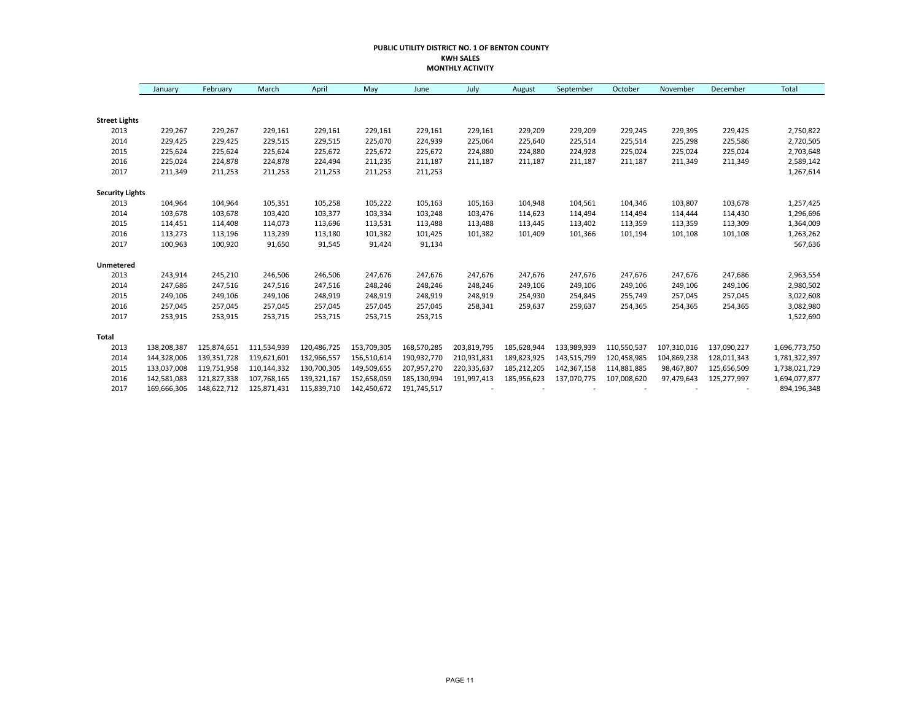#### **PUBLIC UTILITY DISTRICT NO. 1 OF BENTON COUNTY KWH SALES MONTHLY ACTIVITY**

|                        | January     | February    | March       | April       | May         | June        | July        | August      | September   | October     | November    | December    | Total         |
|------------------------|-------------|-------------|-------------|-------------|-------------|-------------|-------------|-------------|-------------|-------------|-------------|-------------|---------------|
|                        |             |             |             |             |             |             |             |             |             |             |             |             |               |
| <b>Street Lights</b>   |             |             |             |             |             |             |             |             |             |             |             |             |               |
| 2013                   | 229,267     | 229,267     | 229,161     | 229,161     | 229,161     | 229,161     | 229,161     | 229,209     | 229,209     | 229,245     | 229,395     | 229,425     | 2,750,822     |
| 2014                   | 229,425     | 229,425     | 229,515     | 229,515     | 225,070     | 224,939     | 225,064     | 225,640     | 225,514     | 225,514     | 225,298     | 225,586     | 2,720,505     |
| 2015                   | 225,624     | 225,624     | 225,624     | 225,672     | 225,672     | 225,672     | 224,880     | 224,880     | 224,928     | 225,024     | 225,024     | 225,024     | 2,703,648     |
| 2016                   | 225,024     | 224,878     | 224,878     | 224,494     | 211,235     | 211,187     | 211,187     | 211,187     | 211,187     | 211,187     | 211,349     | 211,349     | 2,589,142     |
| 2017                   | 211,349     | 211,253     | 211,253     | 211,253     | 211,253     | 211,253     |             |             |             |             |             |             | 1,267,614     |
| <b>Security Lights</b> |             |             |             |             |             |             |             |             |             |             |             |             |               |
| 2013                   | 104,964     | 104,964     | 105,351     | 105,258     | 105,222     | 105,163     | 105,163     | 104,948     | 104,561     | 104,346     | 103,807     | 103,678     | 1,257,425     |
| 2014                   | 103,678     | 103,678     | 103,420     | 103,377     | 103,334     | 103,248     | 103,476     | 114,623     | 114,494     | 114,494     | 114,444     | 114,430     | 1,296,696     |
| 2015                   | 114,451     | 114,408     | 114,073     | 113,696     | 113,531     | 113,488     | 113,488     | 113,445     | 113,402     | 113,359     | 113,359     | 113,309     | 1,364,009     |
| 2016                   | 113,273     | 113,196     | 113,239     | 113,180     | 101,382     | 101,425     | 101,382     | 101,409     | 101,366     | 101,194     | 101,108     | 101,108     | 1,263,262     |
| 2017                   | 100,963     | 100,920     | 91,650      | 91,545      | 91,424      | 91,134      |             |             |             |             |             |             | 567,636       |
| Unmetered              |             |             |             |             |             |             |             |             |             |             |             |             |               |
| 2013                   | 243,914     | 245,210     | 246,506     | 246,506     | 247,676     | 247,676     | 247,676     | 247,676     | 247,676     | 247,676     | 247,676     | 247,686     | 2,963,554     |
| 2014                   | 247,686     | 247,516     | 247,516     | 247,516     | 248,246     | 248,246     | 248,246     | 249,106     | 249,106     | 249,106     | 249,106     | 249,106     | 2,980,502     |
| 2015                   | 249,106     | 249,106     | 249,106     | 248,919     | 248,919     | 248,919     | 248,919     | 254,930     | 254,845     | 255,749     | 257,045     | 257,045     | 3,022,608     |
| 2016                   | 257,045     | 257,045     | 257,045     | 257,045     | 257,045     | 257,045     | 258,341     | 259,637     | 259,637     | 254,365     | 254,365     | 254,365     | 3,082,980     |
| 2017                   | 253,915     | 253,915     | 253,715     | 253,715     | 253,715     | 253,715     |             |             |             |             |             |             | 1,522,690     |
| <b>Total</b>           |             |             |             |             |             |             |             |             |             |             |             |             |               |
| 2013                   | 138,208,387 | 125,874,651 | 111,534,939 | 120,486,725 | 153,709,305 | 168,570,285 | 203,819,795 | 185,628,944 | 133,989,939 | 110,550,537 | 107,310,016 | 137,090,227 | 1,696,773,750 |
| 2014                   | 144,328,006 | 139,351,728 | 119,621,601 | 132,966,557 | 156,510,614 | 190,932,770 | 210,931,831 | 189,823,925 | 143,515,799 | 120,458,985 | 104,869,238 | 128,011,343 | 1,781,322,397 |
| 2015                   | 133,037,008 | 119,751,958 | 110,144,332 | 130,700,305 | 149,509,655 | 207,957,270 | 220,335,637 | 185,212,205 | 142,367,158 | 114,881,885 | 98,467,807  | 125,656,509 | 1,738,021,729 |
| 2016                   | 142,581,083 | 121,827,338 | 107,768,165 | 139,321,167 | 152,658,059 | 185,130,994 | 191,997,413 | 185,956,623 | 137,070,775 | 107,008,620 | 97,479,643  | 125,277,997 | 1,694,077,877 |
| 2017                   | 169,666,306 | 148,622,712 | 125,871,431 | 115,839,710 | 142,450,672 | 191,745,517 |             |             |             |             |             |             | 894,196,348   |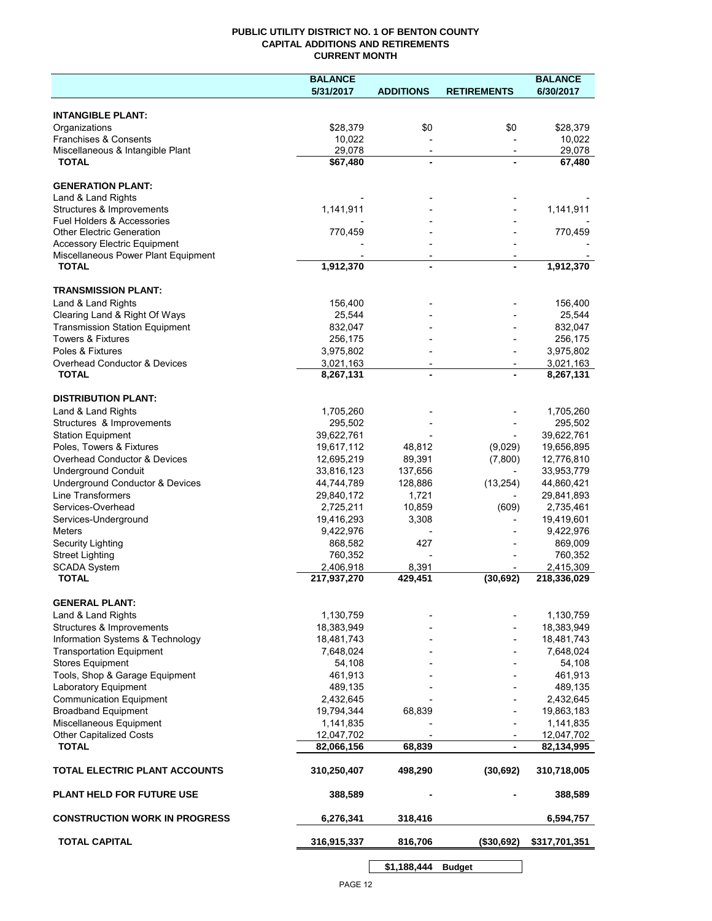## **PUBLIC UTILITY DISTRICT NO. 1 OF BENTON COUNTY CAPITAL ADDITIONS AND RETIREMENTS CURRENT MONTH**

|                                                     | <b>BALANCE</b>           |                                            |                          | <b>BALANCE</b>           |
|-----------------------------------------------------|--------------------------|--------------------------------------------|--------------------------|--------------------------|
|                                                     | 5/31/2017                | <b>ADDITIONS</b>                           | <b>RETIREMENTS</b>       | 6/30/2017                |
| <b>INTANGIBLE PLANT:</b>                            |                          |                                            |                          |                          |
| Organizations                                       | \$28,379                 | \$0                                        | \$0                      | \$28,379                 |
| Franchises & Consents                               | 10,022                   |                                            |                          | 10,022                   |
| Miscellaneous & Intangible Plant                    | 29,078                   | $\overline{\phantom{a}}$                   | $\overline{\phantom{a}}$ | 29,078                   |
| <b>TOTAL</b>                                        | \$67,480                 | $\blacksquare$                             |                          | 67,480                   |
| <b>GENERATION PLANT:</b>                            |                          |                                            |                          |                          |
| Land & Land Rights                                  |                          |                                            |                          |                          |
| Structures & Improvements                           | 1,141,911                |                                            |                          | 1,141,911                |
| <b>Fuel Holders &amp; Accessories</b>               |                          |                                            |                          |                          |
| <b>Other Electric Generation</b>                    | 770,459                  |                                            |                          | 770,459                  |
| <b>Accessory Electric Equipment</b>                 |                          |                                            |                          |                          |
| Miscellaneous Power Plant Equipment<br><b>TOTAL</b> | 1,912,370                | $\overline{\phantom{a}}$<br>$\blacksquare$ |                          | 1,912,370                |
|                                                     |                          |                                            |                          |                          |
| <b>TRANSMISSION PLANT:</b>                          |                          |                                            |                          |                          |
| Land & Land Rights                                  | 156,400                  |                                            |                          | 156,400                  |
| Clearing Land & Right Of Ways                       | 25,544                   |                                            |                          | 25,544                   |
| <b>Transmission Station Equipment</b>               | 832,047                  |                                            |                          | 832,047                  |
| <b>Towers &amp; Fixtures</b>                        | 256,175                  |                                            |                          | 256,175                  |
| Poles & Fixtures                                    | 3,975,802                |                                            |                          | 3,975,802                |
| Overhead Conductor & Devices                        | 3,021,163                |                                            |                          | 3,021,163                |
| <b>TOTAL</b>                                        | 8,267,131                |                                            |                          | 8,267,131                |
| <b>DISTRIBUTION PLANT:</b>                          |                          |                                            |                          |                          |
| Land & Land Rights                                  | 1,705,260                |                                            |                          | 1,705,260                |
| Structures & Improvements                           | 295,502                  |                                            |                          | 295,502                  |
| <b>Station Equipment</b>                            | 39,622,761               |                                            |                          | 39,622,761               |
| Poles, Towers & Fixtures                            | 19,617,112               | 48,812                                     | (9,029)                  | 19,656,895               |
| Overhead Conductor & Devices                        | 12,695,219               | 89,391                                     | (7,800)                  | 12,776,810               |
| <b>Underground Conduit</b>                          | 33,816,123               | 137,656                                    |                          | 33,953,779               |
| Underground Conductor & Devices                     | 44,744,789               | 128,886                                    | (13, 254)                | 44,860,421               |
| <b>Line Transformers</b>                            | 29,840,172               | 1,721                                      |                          | 29,841,893               |
| Services-Overhead                                   | 2,725,211                | 10,859                                     | (609)                    | 2,735,461                |
| Services-Underground                                | 19,416,293               | 3,308                                      |                          | 19,419,601               |
| Meters                                              | 9,422,976                |                                            |                          | 9,422,976                |
| Security Lighting                                   | 868,582                  | 427                                        |                          | 869,009                  |
| <b>Street Lighting</b>                              | 760,352                  |                                            |                          | 760,352                  |
| <b>SCADA System</b><br><b>TOTAL</b>                 | 2,406,918<br>217,937,270 | 8,391<br>429,451                           | (30, 692)                | 2,415,309<br>218,336,029 |
|                                                     |                          |                                            |                          |                          |
| <b>GENERAL PLANT:</b>                               |                          |                                            |                          |                          |
| Land & Land Rights                                  | 1,130,759                |                                            |                          | 1,130,759                |
| Structures & Improvements                           | 18,383,949               |                                            |                          | 18,383,949               |
| Information Systems & Technology                    | 18,481,743               |                                            |                          | 18,481,743               |
| <b>Transportation Equipment</b>                     | 7,648,024                |                                            |                          | 7,648,024                |
| Stores Equipment                                    | 54,108                   |                                            |                          | 54,108                   |
| Tools, Shop & Garage Equipment                      | 461,913                  |                                            |                          | 461,913                  |
| Laboratory Equipment                                | 489,135                  |                                            |                          | 489,135                  |
| <b>Communication Equipment</b>                      | 2,432,645                |                                            |                          | 2,432,645                |
| <b>Broadband Equipment</b>                          | 19,794,344               | 68,839                                     |                          | 19,863,183               |
| Miscellaneous Equipment                             | 1,141,835                |                                            |                          | 1,141,835                |
| <b>Other Capitalized Costs</b><br><b>TOTAL</b>      | 12,047,702               | 68,839                                     |                          | 12,047,702<br>82,134,995 |
|                                                     | 82,066,156               |                                            | $\blacksquare$           |                          |
| <b>TOTAL ELECTRIC PLANT ACCOUNTS</b>                | 310,250,407              | 498,290                                    | (30, 692)                | 310,718,005              |
| <b>PLANT HELD FOR FUTURE USE</b>                    | 388,589                  |                                            |                          | 388,589                  |
| <b>CONSTRUCTION WORK IN PROGRESS</b>                | 6,276,341                | 318,416                                    |                          | 6,594,757                |
| <b>TOTAL CAPITAL</b>                                | 316,915,337              | 816,706                                    | (\$30,692)               | \$317,701,351            |
|                                                     |                          |                                            |                          |                          |

**\$1,188,444 Budget**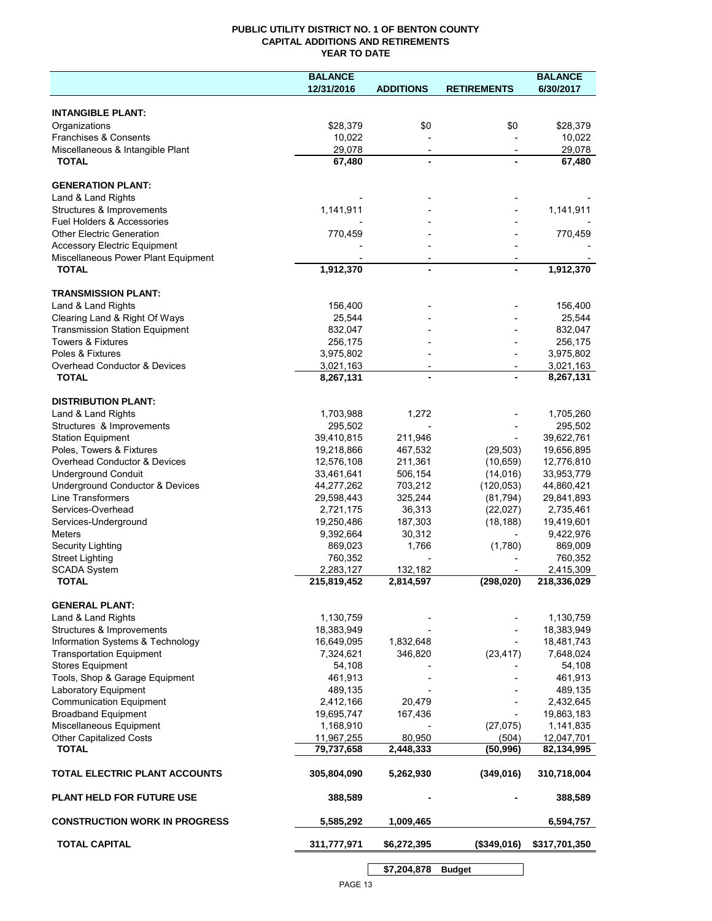## **PUBLIC UTILITY DISTRICT NO. 1 OF BENTON COUNTY CAPITAL ADDITIONS AND RETIREMENTS YEAR TO DATE**

|                                       | <b>BALANCE</b>     |                          |                          | <b>BALANCE</b>       |
|---------------------------------------|--------------------|--------------------------|--------------------------|----------------------|
|                                       | 12/31/2016         | <b>ADDITIONS</b>         | <b>RETIREMENTS</b>       | 6/30/2017            |
|                                       |                    |                          |                          |                      |
| <b>INTANGIBLE PLANT:</b>              |                    |                          |                          |                      |
| Organizations                         | \$28,379           | \$0                      | \$0                      | \$28,379             |
| Franchises & Consents                 | 10,022             |                          |                          | 10,022               |
| Miscellaneous & Intangible Plant      | 29,078             | $\overline{\phantom{a}}$ | $\overline{\phantom{a}}$ | 29,078               |
| <b>TOTAL</b>                          | 67,480             |                          |                          | 67,480               |
| <b>GENERATION PLANT:</b>              |                    |                          |                          |                      |
| Land & Land Rights                    |                    |                          |                          |                      |
| Structures & Improvements             | 1,141,911          |                          |                          | 1,141,911            |
| Fuel Holders & Accessories            |                    |                          |                          |                      |
| <b>Other Electric Generation</b>      | 770,459            |                          |                          | 770,459              |
| <b>Accessory Electric Equipment</b>   |                    |                          |                          |                      |
| Miscellaneous Power Plant Equipment   |                    |                          |                          |                      |
| <b>TOTAL</b>                          | 1,912,370          |                          |                          | 1,912,370            |
|                                       |                    |                          |                          |                      |
| <b>TRANSMISSION PLANT:</b>            |                    |                          |                          |                      |
| Land & Land Rights                    | 156,400            |                          |                          | 156,400              |
| Clearing Land & Right Of Ways         | 25,544             |                          |                          | 25,544               |
| <b>Transmission Station Equipment</b> | 832,047            |                          |                          | 832,047              |
| <b>Towers &amp; Fixtures</b>          | 256,175            |                          |                          | 256,175              |
| Poles & Fixtures                      | 3,975,802          |                          |                          | 3,975,802            |
| Overhead Conductor & Devices          | 3,021,163          | $\overline{\phantom{a}}$ |                          | 3,021,163            |
| <b>TOTAL</b>                          | 8,267,131          |                          |                          | 8,267,131            |
| <b>DISTRIBUTION PLANT:</b>            |                    |                          |                          |                      |
| Land & Land Rights                    | 1,703,988          | 1,272                    |                          | 1,705,260            |
| Structures & Improvements             | 295,502            |                          |                          | 295,502              |
| <b>Station Equipment</b>              | 39,410,815         | 211,946                  |                          | 39,622,761           |
| Poles, Towers & Fixtures              | 19,218,866         | 467,532                  | (29, 503)                | 19,656,895           |
| Overhead Conductor & Devices          | 12,576,108         | 211,361                  | (10, 659)                | 12,776,810           |
| <b>Underground Conduit</b>            | 33,461,641         | 506,154                  | (14, 016)                | 33,953,779           |
| Underground Conductor & Devices       | 44,277,262         | 703,212                  | (120, 053)               | 44,860,421           |
| Line Transformers                     | 29,598,443         | 325,244                  | (81, 794)                | 29,841,893           |
| Services-Overhead                     | 2,721,175          | 36,313                   | (22,027)                 | 2,735,461            |
|                                       | 19,250,486         |                          | (18, 188)                |                      |
| Services-Underground                  |                    | 187,303                  |                          | 19,419,601           |
| <b>Meters</b>                         | 9,392,664          | 30,312<br>1,766          |                          | 9,422,976            |
| Security Lighting                     | 869,023<br>760,352 |                          | (1,780)                  | 869,009              |
| <b>Street Lighting</b>                | 2,283,127          | 132,182                  |                          | 760,352<br>2,415,309 |
| <b>SCADA System</b><br><b>TOTAL</b>   | 215,819,452        | 2,814,597                | (298, 020)               | 218,336,029          |
|                                       |                    |                          |                          |                      |
| <b>GENERAL PLANT:</b>                 |                    |                          |                          |                      |
| Land & Land Rights                    | 1,130,759          |                          |                          | 1,130,759            |
| Structures & Improvements             | 18,383,949         |                          |                          | 18,383,949           |
| Information Systems & Technology      | 16,649,095         | 1,832,648                |                          | 18,481,743           |
| <b>Transportation Equipment</b>       | 7,324,621          | 346,820                  | (23, 417)                | 7,648,024            |
| <b>Stores Equipment</b>               | 54,108             |                          |                          | 54,108               |
| Tools, Shop & Garage Equipment        | 461,913            |                          |                          | 461,913              |
| Laboratory Equipment                  | 489,135            |                          |                          | 489,135              |
| <b>Communication Equipment</b>        | 2,412,166          | 20,479                   |                          | 2,432,645            |
| <b>Broadband Equipment</b>            | 19,695,747         | 167,436                  |                          | 19,863,183           |
| Miscellaneous Equipment               | 1,168,910          |                          | (27, 075)                | 1,141,835            |
| Other Capitalized Costs               | 11,967,255         | 80,950                   | (504)                    | 12,047,701           |
| <b>TOTAL</b>                          | 79,737,658         | 2,448,333                | (50, 996)                | 82,134,995           |
| TOTAL ELECTRIC PLANT ACCOUNTS         | 305,804,090        | 5,262,930                | (349,016)                | 310,718,004          |
| <b>PLANT HELD FOR FUTURE USE</b>      | 388,589            |                          |                          | 388,589              |
| <b>CONSTRUCTION WORK IN PROGRESS</b>  | 5,585,292          | 1,009,465                |                          | 6,594,757            |
| <b>TOTAL CAPITAL</b>                  | 311,777,971        | \$6,272,395              | (\$349,016)              | \$317,701,350        |
|                                       |                    | \$7,204,878              | <b>Budget</b>            |                      |
|                                       |                    |                          |                          |                      |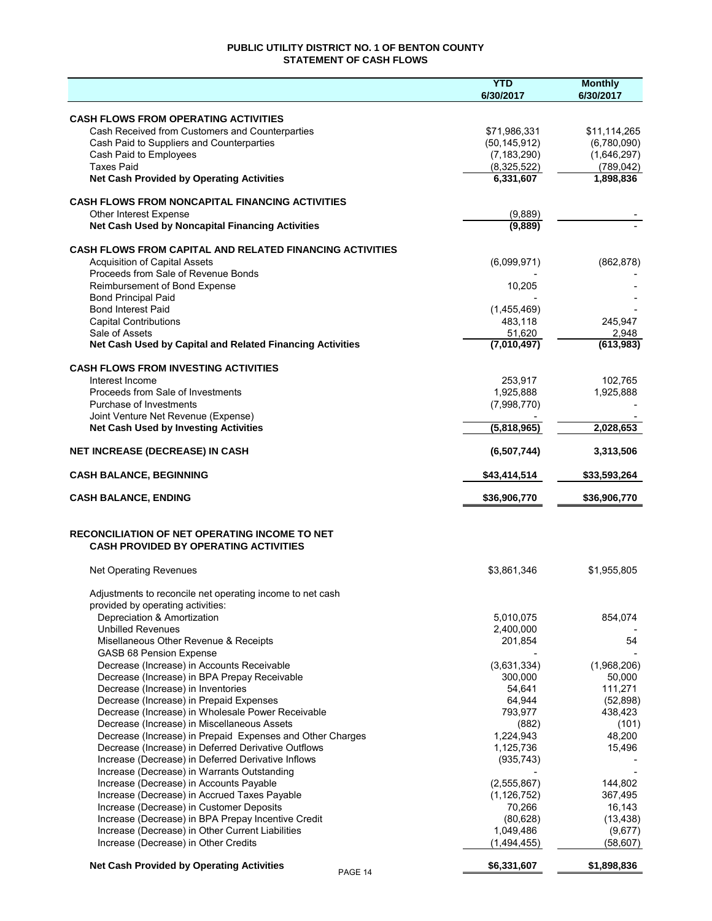# **PUBLIC UTILITY DISTRICT NO. 1 OF BENTON COUNTY STATEMENT OF CASH FLOWS**

|                                                                                                        | <b>YTD</b><br>6/30/2017         | <b>Monthly</b><br>6/30/2017 |
|--------------------------------------------------------------------------------------------------------|---------------------------------|-----------------------------|
|                                                                                                        |                                 |                             |
| <b>CASH FLOWS FROM OPERATING ACTIVITIES</b>                                                            |                                 |                             |
| Cash Received from Customers and Counterparties<br>Cash Paid to Suppliers and Counterparties           | \$71,986,331                    | \$11,114,265                |
| Cash Paid to Employees                                                                                 | (50, 145, 912)<br>(7, 183, 290) | (6,780,090)<br>(1,646,297)  |
| <b>Taxes Paid</b>                                                                                      | (8,325,522)                     | (789, 042)                  |
| <b>Net Cash Provided by Operating Activities</b>                                                       | 6,331,607                       | 1,898,836                   |
|                                                                                                        |                                 |                             |
| <b>CASH FLOWS FROM NONCAPITAL FINANCING ACTIVITIES</b>                                                 |                                 |                             |
| Other Interest Expense                                                                                 | (9,889)                         |                             |
| Net Cash Used by Noncapital Financing Activities                                                       | (9,889)                         |                             |
| <b>CASH FLOWS FROM CAPITAL AND RELATED FINANCING ACTIVITIES</b>                                        |                                 |                             |
| <b>Acquisition of Capital Assets</b>                                                                   | (6,099,971)                     | (862, 878)                  |
| Proceeds from Sale of Revenue Bonds                                                                    |                                 |                             |
| Reimbursement of Bond Expense                                                                          | 10,205                          |                             |
| <b>Bond Principal Paid</b>                                                                             |                                 |                             |
| <b>Bond Interest Paid</b>                                                                              | (1,455,469)                     |                             |
| <b>Capital Contributions</b><br>Sale of Assets                                                         | 483,118<br>51,620               | 245,947<br>2,948            |
| Net Cash Used by Capital and Related Financing Activities                                              | (7,010,497)                     | (613,983)                   |
|                                                                                                        |                                 |                             |
| <b>CASH FLOWS FROM INVESTING ACTIVITIES</b>                                                            |                                 |                             |
| Interest Income                                                                                        | 253,917                         | 102,765                     |
| Proceeds from Sale of Investments                                                                      | 1,925,888                       | 1,925,888                   |
| Purchase of Investments                                                                                | (7,998,770)                     |                             |
| Joint Venture Net Revenue (Expense)<br><b>Net Cash Used by Investing Activities</b>                    | (5,818,965)                     | 2,028,653                   |
|                                                                                                        |                                 |                             |
| <b>NET INCREASE (DECREASE) IN CASH</b>                                                                 | (6,507,744)                     | 3,313,506                   |
| <b>CASH BALANCE, BEGINNING</b>                                                                         | \$43,414,514                    | \$33,593,264                |
| <b>CASH BALANCE, ENDING</b>                                                                            | \$36,906,770                    | \$36,906,770                |
| <b>RECONCILIATION OF NET OPERATING INCOME TO NET</b>                                                   |                                 |                             |
| <b>CASH PROVIDED BY OPERATING ACTIVITIES</b>                                                           |                                 |                             |
| <b>Net Operating Revenues</b>                                                                          | \$3,861,346                     | \$1,955,805                 |
| Adjustments to reconcile net operating income to net cash                                              |                                 |                             |
| provided by operating activities:                                                                      |                                 |                             |
| Depreciation & Amortization                                                                            | 5,010,075                       | 854,074                     |
| <b>Unbilled Revenues</b>                                                                               | 2,400,000                       |                             |
| Misellaneous Other Revenue & Receipts                                                                  | 201,854                         | 54                          |
| <b>GASB 68 Pension Expense</b>                                                                         |                                 |                             |
| Decrease (Increase) in Accounts Receivable                                                             | (3,631,334)                     | (1,968,206)                 |
| Decrease (Increase) in BPA Prepay Receivable<br>Decrease (Increase) in Inventories                     | 300,000<br>54,641               | 50,000<br>111,271           |
| Decrease (Increase) in Prepaid Expenses                                                                | 64,944                          | (52, 898)                   |
| Decrease (Increase) in Wholesale Power Receivable                                                      | 793,977                         | 438,423                     |
| Decrease (Increase) in Miscellaneous Assets                                                            | (882)                           | (101)                       |
| Decrease (Increase) in Prepaid Expenses and Other Charges                                              | 1,224,943                       | 48,200                      |
| Decrease (Increase) in Deferred Derivative Outflows                                                    | 1,125,736                       | 15,496                      |
| Increase (Decrease) in Deferred Derivative Inflows                                                     | (935, 743)                      |                             |
| Increase (Decrease) in Warrants Outstanding                                                            |                                 |                             |
| Increase (Decrease) in Accounts Payable                                                                | (2, 555, 867)                   | 144,802                     |
| Increase (Decrease) in Accrued Taxes Payable                                                           | (1, 126, 752)                   | 367,495                     |
| Increase (Decrease) in Customer Deposits                                                               | 70,266                          | 16,143                      |
| Increase (Decrease) in BPA Prepay Incentive Credit<br>Increase (Decrease) in Other Current Liabilities | (80, 628)<br>1,049,486          | (13, 438)<br>(9,677)        |
| Increase (Decrease) in Other Credits                                                                   | (1,494,455)                     | (58, 607)                   |
| <b>Net Cash Provided by Operating Activities</b>                                                       | \$6,331,607                     | \$1,898,836                 |
| PAGE 14                                                                                                |                                 |                             |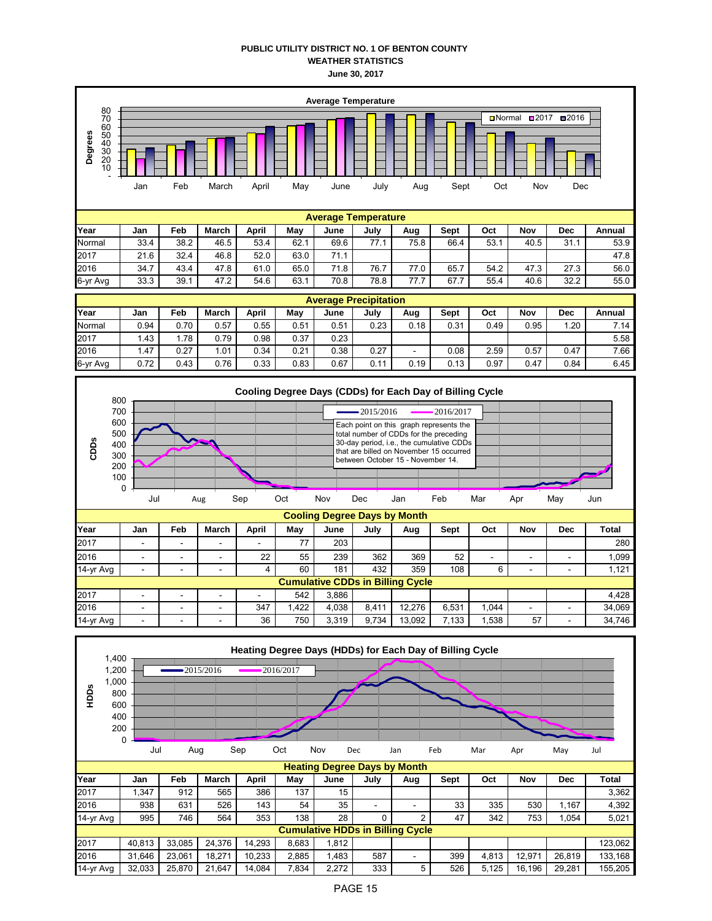### **PUBLIC UTILITY DISTRICT NO. 1 OF BENTON COUNTY WEATHER STATISTICS June 30, 2017**





| $14 - y1$ Avy | $\overline{\phantom{0}}$                |                          | $\overline{\phantom{0}}$ |                          | υυ   | 101   | 404   | ບບອ    | ı vo  |      |    | -                        | ا 14 ، |
|---------------|-----------------------------------------|--------------------------|--------------------------|--------------------------|------|-------|-------|--------|-------|------|----|--------------------------|--------|
|               | <b>Cumulative CDDs in Billing Cycle</b> |                          |                          |                          |      |       |       |        |       |      |    |                          |        |
| 2017          | $\overline{\phantom{a}}$                | $\overline{\phantom{0}}$ | $\overline{\phantom{0}}$ | $\overline{\phantom{a}}$ | 542  | 3.886 |       |        |       |      |    |                          | 4.428  |
| 2016          | $\sim$                                  | $\overline{\phantom{0}}$ | -                        | 347                      | .422 | 4.038 | 8.411 | 12.276 | 6.531 | ,044 | -  | $\overline{\phantom{0}}$ | 34,069 |
| 14-yr Avg     | -                                       | -                        |                          | 36                       | 750  | 3.319 | 9.734 | 13.092 | .133  | .538 | 57 | -                        | 34,746 |

| HDDS      | 1,400<br>1,200<br>1,000<br>800<br>600<br>400<br>200 | 0<br>Jul | Aug    | $-2015/2016$ | Sep    | 2016/2017<br>Oct | Nov   | Dec                                 | Heating Degree Days (HDDs) for Each Day of Billing Cycle<br>Jan | Feb  | Mar   | Apr    | May        | Jul     |
|-----------|-----------------------------------------------------|----------|--------|--------------|--------|------------------|-------|-------------------------------------|-----------------------------------------------------------------|------|-------|--------|------------|---------|
|           |                                                     |          |        |              |        |                  |       |                                     |                                                                 |      |       |        |            |         |
|           |                                                     |          |        |              |        |                  |       | <b>Heating Degree Days by Month</b> |                                                                 |      |       |        |            |         |
| Year      |                                                     | Jan      | Feb    | March        | April  | May              | June  | July                                | Aug                                                             | Sept | Oct   | Nov    | <b>Dec</b> | Total   |
| 2017      |                                                     | 1,347    | 912    | 565          | 386    | 137              | 15    |                                     |                                                                 |      |       |        |            | 3,362   |
| 2016      |                                                     | 938      | 631    | 526          | 143    | 54               | 35    | ٠                                   | ۰                                                               | 33   | 335   | 530    | 1,167      | 4,392   |
| 14-yr Avg |                                                     | 995      | 746    | 564          | 353    | 138              | 28    | 0                                   | 2                                                               | 47   | 342   | 753    | 1,054      | 5,021   |
|           |                                                     |          |        |              |        |                  |       |                                     | <b>Cumulative HDDs in Billing Cycle</b>                         |      |       |        |            |         |
| 2017      |                                                     | 40,813   | 33,085 | 24,376       | 14,293 | 8,683            | 1,812 |                                     |                                                                 |      |       |        |            | 123,062 |
| 2016      |                                                     | 31,646   | 23,061 | 18,271       | 10,233 | 2,885            | 1,483 | 587                                 | ۰                                                               | 399  | 4,813 | 12,971 | 26,819     | 133,168 |
| 14-yr Avg |                                                     | 32,033   | 25,870 | 21,647       | 14,084 | 7,834            | 2,272 | 333                                 | 5                                                               | 526  | 5,125 | 16,196 | 29,281     | 155,205 |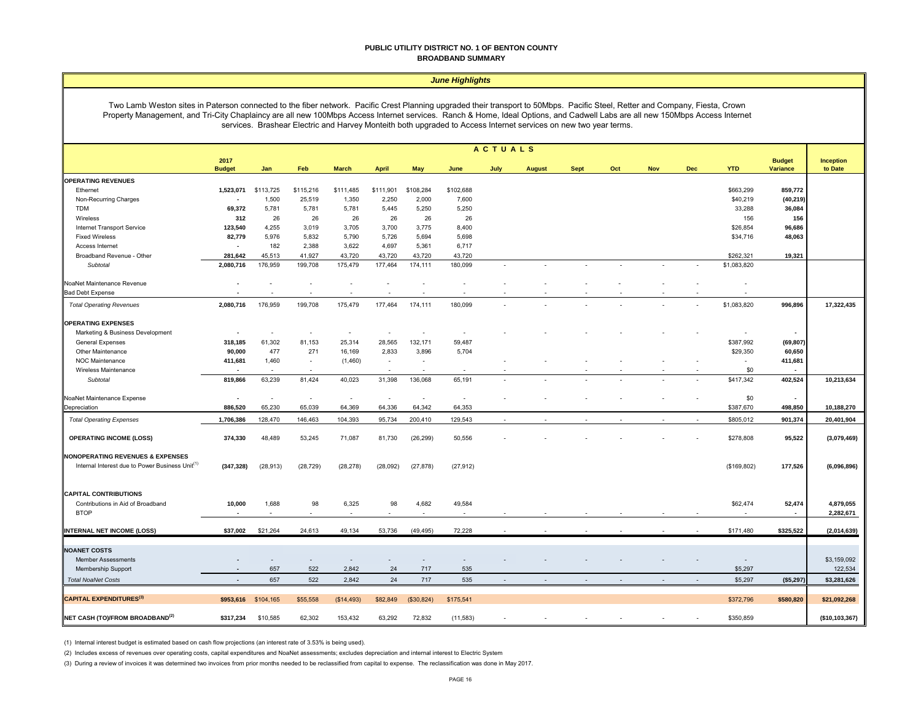#### **PUBLIC UTILITY DISTRICT NO. 1 OF BENTON COUNTY BROADBAND SUMMARY**

|  |  |  | <b>June Highlights</b> |
|--|--|--|------------------------|
|  |  |  |                        |

Two Lamb Weston sites in Paterson connected to the fiber network. Pacific Crest Planning upgraded their transport to 50Mbps. Pacific Steel, Retter and Company, Fiesta, Crown Property Management, and Tri-City Chaplaincy are all new 100Mbps Access Internet services. Ranch & Home, Ideal Options, and Cadwell Labs are all new 150Mbps Access Internet services. Brashear Electric and Harvey Monteith both upgraded to Access Internet services on new two year terms.

|                                                             |                       |                     |           |              |                          |            |           | <b>ACTUALS</b>           |               |             |                          |            |            |             |                           |                      |
|-------------------------------------------------------------|-----------------------|---------------------|-----------|--------------|--------------------------|------------|-----------|--------------------------|---------------|-------------|--------------------------|------------|------------|-------------|---------------------------|----------------------|
|                                                             | 2017<br><b>Budget</b> | Jan                 | Feb       | <b>March</b> | <b>April</b>             | May        | June      | July                     | <b>August</b> | <b>Sept</b> | Oct                      | <b>Nov</b> | <b>Dec</b> | <b>YTD</b>  | <b>Budget</b><br>Variance | Inception<br>to Date |
| <b>OPERATING REVENUES</b>                                   |                       |                     |           |              |                          |            |           |                          |               |             |                          |            |            |             |                           |                      |
| Ethernet                                                    | 1,523,071             | \$113,725           | \$115,216 | \$111,485    | \$111,901                | \$108,284  | \$102,688 |                          |               |             |                          |            |            | \$663,299   | 859,772                   |                      |
| Non-Recurring Charges                                       |                       | 1,500               | 25,519    | 1,350        | 2,250                    | 2,000      | 7,600     |                          |               |             |                          |            |            | \$40,219    | (40, 219)                 |                      |
| <b>TDM</b>                                                  | 69,372                | 5,781               | 5,781     | 5,781        | 5,445                    | 5,250      | 5,250     |                          |               |             |                          |            |            | 33,288      | 36,084                    |                      |
| Wireless                                                    | 312                   | 26                  | 26        | 26           | 26                       | 26         | 26        |                          |               |             |                          |            |            | 156         | 156                       |                      |
| Internet Transport Service                                  | 123,540               | 4,255               | 3,019     | 3,705        | 3,700                    | 3,775      | 8,400     |                          |               |             |                          |            |            | \$26,854    | 96,686                    |                      |
| <b>Fixed Wireless</b>                                       | 82,779                | 5,976               | 5,832     | 5,790        | 5,726                    | 5,694      | 5,698     |                          |               |             |                          |            |            | \$34,716    | 48,063                    |                      |
| Access Internet                                             |                       | 182                 | 2,388     | 3,622        | 4,697                    | 5,361      | 6,717     |                          |               |             |                          |            |            |             |                           |                      |
| Broadband Revenue - Other                                   | 281,642               | 45,513              | 41,927    | 43,720       | 43,720                   | 43,720     | 43,720    |                          |               |             |                          |            |            | \$262,321   | 19,321                    |                      |
| Subtotal                                                    | 2,080,716             | 176,959             | 199,708   | 175,479      | 177,464                  | 174,111    | 180,099   | $\overline{\phantom{a}}$ |               |             | $\overline{\phantom{a}}$ |            |            | \$1,083,820 |                           |                      |
| NoaNet Maintenance Revenue                                  |                       |                     |           |              |                          |            |           |                          |               |             |                          |            |            |             |                           |                      |
| <b>Bad Debt Expense</b>                                     |                       |                     |           |              |                          |            |           |                          |               |             |                          |            |            |             |                           |                      |
|                                                             |                       |                     |           |              |                          |            |           |                          |               |             |                          |            |            |             |                           |                      |
| <b>Total Operating Revenues</b>                             | 2,080,716             | 176,959             | 199,708   | 175,479      | 177,464                  | 174,111    | 180,099   |                          |               |             |                          |            |            | \$1,083,820 | 996,896                   | 17,322,435           |
| <b>OPERATING EXPENSES</b>                                   |                       |                     |           |              |                          |            |           |                          |               |             |                          |            |            |             |                           |                      |
| Marketing & Business Development                            |                       |                     | $\sim$    | $\sim$       | $\overline{\phantom{a}}$ | $\sim$     | $\sim$    |                          |               |             |                          |            |            |             | $\blacksquare$            |                      |
| General Expenses                                            | 318,185               | 61,302              | 81,153    | 25,314       | 28,565                   | 132,171    | 59,487    |                          |               |             |                          |            |            | \$387,992   | (69, 807)                 |                      |
| Other Maintenance                                           | 90,000                | 477                 | 271       | 16,169       | 2,833                    | 3,896      | 5,704     |                          |               |             |                          |            |            | \$29,350    | 60,650                    |                      |
| NOC Maintenance                                             | 411,681               | 1,460               |           | (1,460)      | $\sim$                   |            |           |                          |               |             |                          |            |            |             | 411,681                   |                      |
| Wireless Maintenance                                        |                       | $\sim$              |           |              | $\sim$                   |            | $\sim$    |                          |               |             |                          |            |            | \$0         | $\overline{\phantom{a}}$  |                      |
| Subtotal                                                    | 819,866               | 63,239              | 81,424    | 40,023       | 31,398                   | 136,068    | 65,191    |                          |               |             |                          |            |            | \$417,342   | 402,524                   | 10,213,634           |
| NoaNet Maintenance Expense                                  |                       | $\sim$              | ÷.        | $\sim$       | $\ddot{\phantom{1}}$     | $\sim$     | $\sim$    |                          |               |             |                          |            |            | \$0         | $\blacksquare$            |                      |
| Depreciation                                                | 886,520               | 65,230              | 65,039    | 64,369       | 64,336                   | 64,342     | 64,353    |                          |               |             |                          |            |            | \$387,670   | 498,850                   | 10,188,270           |
| <b>Total Operating Expenses</b>                             | 1,706,386             | 128,470             | 146,463   | 104,393      | 95,734                   | 200,410    | 129,543   |                          |               |             |                          |            |            | \$805,012   | 901,374                   | 20,401,904           |
| <b>OPERATING INCOME (LOSS)</b>                              | 374,330               | 48,489              | 53,245    | 71,087       | 81,730                   | (26, 299)  | 50,556    |                          |               |             |                          |            |            | \$278,808   | 95,522                    | (3,079,469)          |
| <b>NONOPERATING REVENUES &amp; EXPENSES</b>                 |                       |                     |           |              |                          |            |           |                          |               |             |                          |            |            |             |                           |                      |
| Internal Interest due to Power Business Unit <sup>(1)</sup> | (347, 328)            | (28, 913)           | (28, 729) | (28, 278)    | (28,092)                 | (27, 878)  | (27, 912) |                          |               |             |                          |            |            | (\$169,802) | 177,526                   | (6,096,896)          |
|                                                             |                       |                     |           |              |                          |            |           |                          |               |             |                          |            |            |             |                           |                      |
| <b>CAPITAL CONTRIBUTIONS</b>                                |                       | 1,688               | 98        |              | 98                       | 4,682      | 49,584    |                          |               |             |                          |            |            |             |                           |                      |
| Contributions in Aid of Broadband                           | 10,000                |                     |           | 6,325        |                          |            |           |                          |               |             |                          |            |            | \$62,474    | 52,474                    | 4,879,055            |
| <b>BTOP</b>                                                 |                       | $\epsilon$          |           |              |                          |            | $\sim$    |                          |               |             |                          |            |            |             | $\overline{\phantom{a}}$  | 2,282,671            |
| <b>INTERNAL NET INCOME (LOSS)</b>                           | \$37,002              | \$21,264            | 24,613    | 49,134       | 53,736                   | (49, 495)  | 72,228    |                          |               |             |                          |            |            | \$171,480   | \$325,522                 | (2,014,639)          |
|                                                             |                       |                     |           |              |                          |            |           |                          |               |             |                          |            |            |             |                           |                      |
| <b>NOANET COSTS</b>                                         |                       |                     |           |              |                          |            |           |                          |               |             |                          |            |            |             |                           |                      |
| <b>Member Assessments</b>                                   |                       |                     |           |              |                          |            |           |                          |               |             |                          |            |            |             |                           | \$3,159,092          |
| Membership Support                                          |                       | 657                 | 522       | 2,842        | 24                       | 717        | 535       |                          |               |             |                          |            |            | \$5,297     |                           | 122,534              |
| <b>Total NoaNet Costs</b>                                   |                       | 657                 | 522       | 2,842        | 24                       | 717        | 535       |                          |               |             |                          |            |            | \$5,297     | (\$5,297)                 | \$3,281,626          |
| <b>CAPITAL EXPENDITURES(3)</b>                              |                       | \$953,616 \$104,165 | \$55,558  | (S14, 493)   | \$82,849                 | (\$30,824) | \$175,541 |                          |               |             |                          |            |            | \$372,796   | \$580,820                 | \$21,092,268         |
| NET CASH (TO)/FROM BROADBAND <sup>(2)</sup>                 | \$317,234             | \$10,585            | 62,302    | 153,432      | 63,292                   | 72,832     | (11, 583) |                          |               |             |                          |            |            | \$350,859   |                           | (\$10,103,367)       |
|                                                             |                       |                     |           |              |                          |            |           |                          |               |             |                          |            |            |             |                           |                      |

(1) Internal interest budget is estimated based on cash flow projections (an interest rate of 3.53% is being used).

(2) Includes excess of revenues over operating costs, capital expenditures and NoaNet assessments; excludes depreciation and internal interest to Electric System

(3) During a review of invoices it was determined two invoices from prior months needed to be reclassified from capital to expense. The reclassification was done in May 2017.